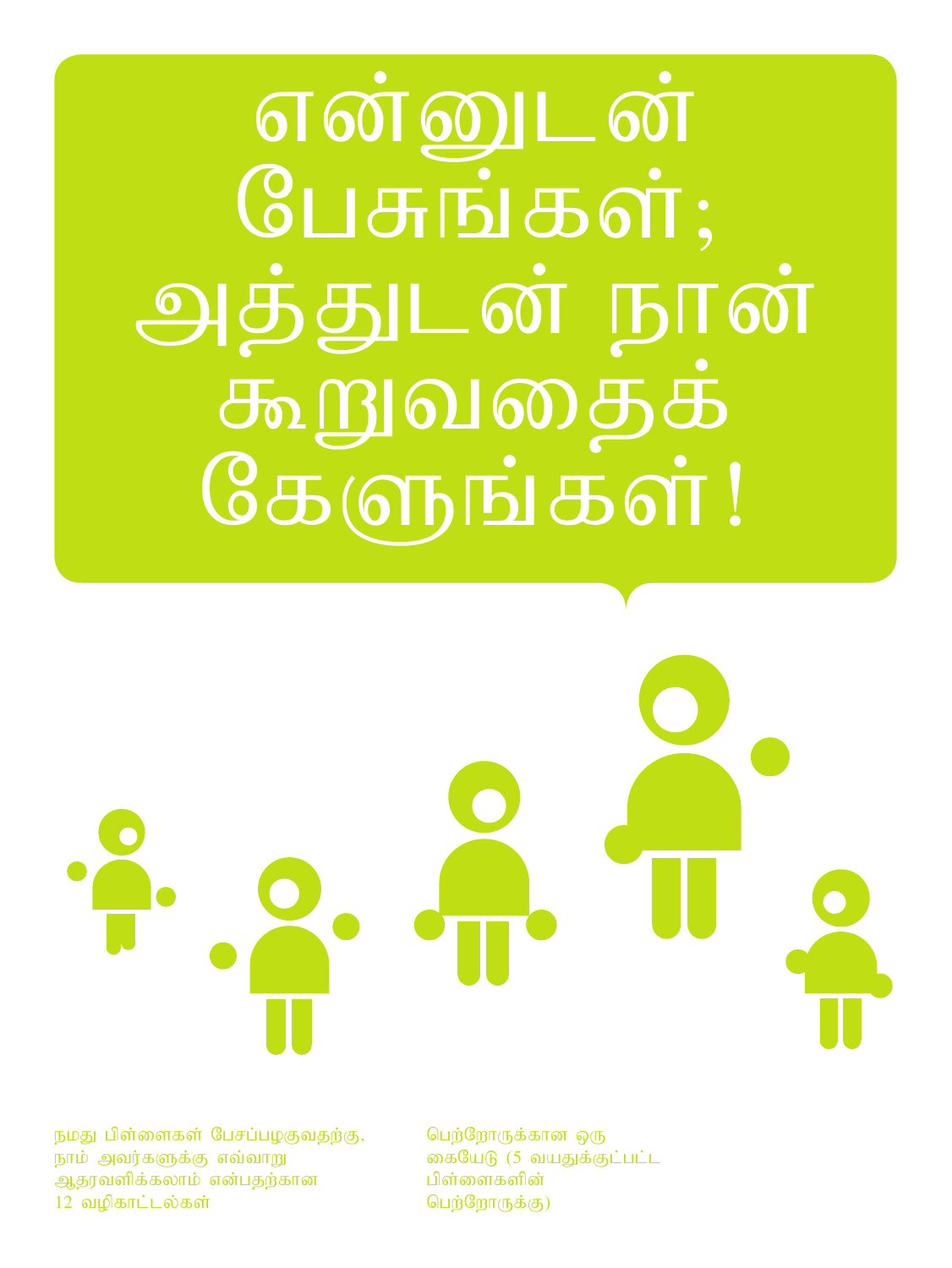<u>என்னுடன்</u>  $G$  $\Box$   $\sigma$   $\vdots$   $\sigma$   $\sigma$   $\vdots$ அத்துடன் நான் கூறுவதைக்<br>கேளுங்கள்!

நமது பிள்ளைகள் பேசப்பழகுவதற்கு, நாம் அவர்களுக்கு எவ்வாறு ஆதரவளிக்கலாம் என்பதற்கான 12 வழிகாட்டல்கள்

பெற்றோருக்கான ஒரு கையேடு (5 வயதுக்குட்பட்ட பிள்ளைகளின் பெற்றோருக்கு)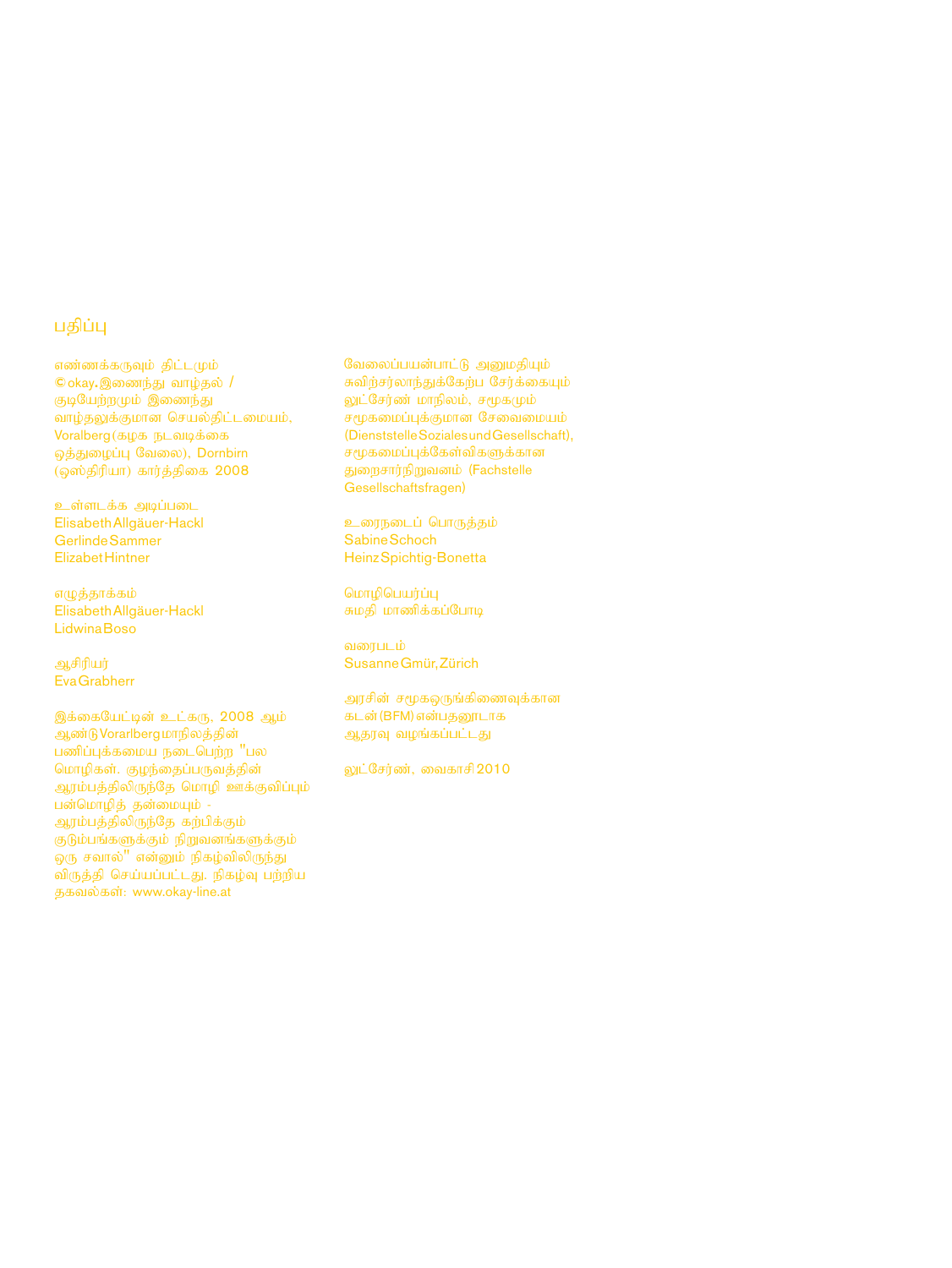#### பகிப்பு

எண்ணக்கருவும் திட்டமும்  $C$ okay. இணைந்து வாழ்தல் / குடியேற்றமும் இணைந்து வாழ்தலுக்குமான செயல்திட்டமையம்,  $V$ oralberg (கமக நடவடிக்கை ஒத்துழைப்பு வேலை), Dornbirn  $\overline{(\phi \omega)}$  நிரியா) கார்த்திகை 2008

உள்ளடக்க அடிப்படை Elisabeth Allgäuer-Hackl Gerlinde Sammer Elizabet Hintner

எழுத்தாக்கம் Elisabeth Allgäuer-Hackl Lidwina Boso

**ஆசிரியர்** Eva Grabherr

இக்கையேட்டின் உட்கரு,  $2008$  ஆம் ஆண்டு Vorarlberg மாநிலத்தின்  $L$ ணிப்புக்கமைய நடைபெற்ற "பல மொழிகள். குழந்தைப்பருவத்தின் ஆரம்பத்திலிருந்தே மொழி ஊக்குவிப்பும் பன்மொழித் தன்மையும் -ஆரம்பத்திலிருந்தே கற்பிக்கும்  $\sigma$ டும்பங்களுக்கும் நிறுவனங்களுக்கும் ஒரு சவால்" என்னும் நிகழ்விலிருந்து விருத்தி செய்யப்பட்டது. நிகழ்வு பற்றிய தகவல்கள்: www.okay-line.at

வேலைப்பயன்பாட்டு அனுமதியும் சுவிர்சர்லாந்துக்கேர்ப $\overline{\phantom{a}}$ சேர்க்கையும் லுட்சேர்ண் மாநிலம், சமூகமும் .<br>சமூகமைப்புக்குமான சேவைமையம் (Dienststelle Soziales und Gesellschaft), சமூகமைப்புக்கேள்விகளுக்கான துறைசார்நிறுவனம் (Fachstelle Gesellschaftsfragen)

உரைநடைப் பொருத்தம் Sabine Schoch Heinz Spichtig-Bonetta

மொழிபெயர்ப்பு சுமதி மாணிக்கப்போடி

வரைபடம் Susanne Gmür, Zürich

அரசின் சமூகஒருங்கிணைவுக்கான கடன் (BFM) என்பதனூடாக ஆதரவு வழங்கப்பட்டது

லுட்சேர்ண், வைகாசி 2010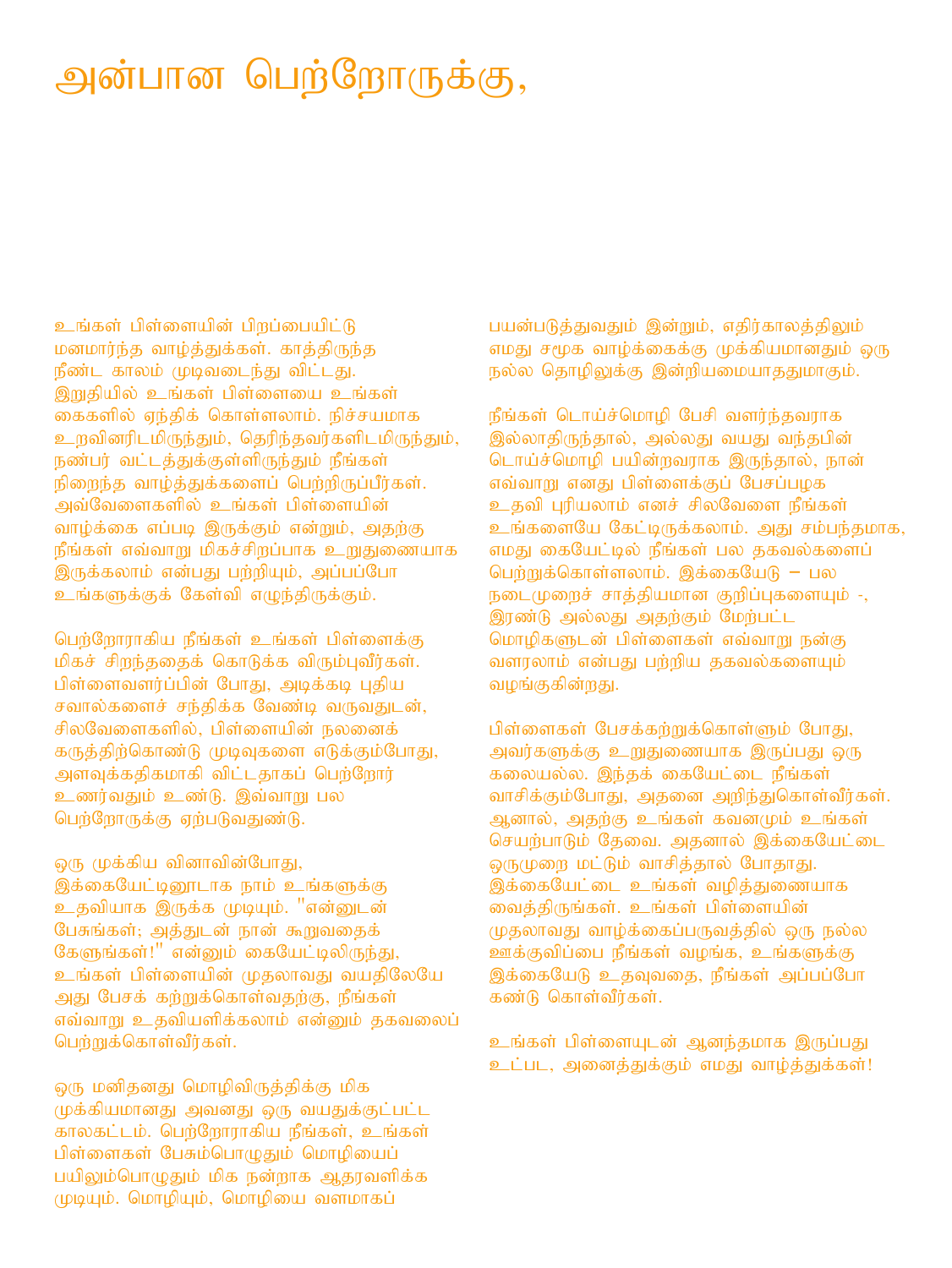### அன்பான பெற்றோருக்கு,

உங்கள் பிள்ளையின் பிருப்பையிட்டு மனமார்ந்த வாழ்த்துக்கள். காத்திருந்த நீண்ட காலம் முடிவடைந்து விட்டது. இறுதியில் உங்கள் பிள்ளையை உங்கள் கைகளில் எந்திக் கொள்ளலாம். நிச்சயமாக உறவினரிடமிருந்தும், தெரிந்தவர்களிடமிருந்தும், .<br>நண்பர் வட்டத்துக்குள்ளிருந்தும் நீங்கள் .<br>நிறைந்த வாழ்த்துக்களைப் பெற்றிருப்பீர்கள். அவ்வேளைகளில் உங்கள் பிள்ளையின் வாம்க்கை எப்படி இருக்கும் என்றும், அதற்கு  $\mathfrak f$ ங்கள் எவ்வாறு மிகச்சிறப்பாக உறுதுணையாக இருக்கலாம் என்பது பற்றியும், அப்பப்போ உங்களுக்குக் கேள்வி எழுந்திருக்கும்.

பெற்றோராகிய நீங்கள் உங்கள் பிள்ளைக்கு மிகச் சிறந்ததைக் கொடுக்க விரும்புவீர்கள். பிள்ளைவளர்ப்பின் போது, அடிக்கடி புதிய சவால்களைச் சந்திக்க வேண்டி வருவதுடன், சிலவேளைகளில், பிள்ளையின் நலனைக் கருத்திற்கொண்டு முடிவுகளை எடுக்கும்போது, அளவுக்கதிகமாகி விட்டதாகப் பெற்றோர் உணர்வதும் உண்டு. இவ்வாறு பல பெற்றோருக்கு ஏற்படுவதுண்டு.

ஒரு முக்கிய வினாவின்போது, இக்கையேட்டினூடாக நாம் உங்களுக்கு உதவியாக இருக்க முடியும். "என்னுடன் பேசுங்கள்; அத்துடன் நான் கூறுவதைக் கேளுங்கள்!" என்னும் கையேட்டிலிருந்து, உங்கள் பிள்ளையின் முதலாவது வயதிலேயே அது பேசக் கற்றுக்கொள்வதற்கு, நீங்கள் எவ்வாறு உதவியளிக்கலாம் என்னும் தகவலைப் பெற்றுக்கொள்வீர்கள்.

ஒரு மனிதனது மொழிவிருத்திக்கு மிக முக்கியமானது அவனது ஒரு வயதுக்குட்பட்ட காலகட்டம். பெற்றோராகிய நீங்கள், உங்கள் பிள்ளைகள் பேசும்பொமுதும் மொழியைப் பயிலும்பொழுதும் மிக நன்றாக ஆதரவளிக்க  $(\mu\mu\mu)$ ம். மொழியும், மொழியை வளமாகப்

பயன்படுத்துவதும் இன்றும், எதிர்காலத்திலும் எமது சமூக வாழ்க்கைக்கு முக்கியமானதும் ஒரு  $\mathfrak{g}$ ல்ல தொழிலுக்கு இன்றியமையாததுமாகும்.

நீங்கள் டொய்ச்மொழி பேசி வளர்ந்தவராக இல்லாதிருந்தால், அல்லது வயது வந்தபின் டொய்ச்மொழி பயின்றவராக இருந்தால், நான் எவ்வாறு எனது பிள்ளைக்குப் பேசப்பமக உதவி புரியலாம் எனச் சிலவேளை நீங்கள் உங்களையே கேட்டிருக்கலாம். அது சம்பந்தமாக, எமது கையேட்டில் நீங்கள் பல தகவல்களைப் பெற்றுக்கொள்ளலாம். இக்கையேடு – பல  $E$ டை $\mu$ ைச் சாத்தியமான குறிப்புகளையும் -, இரண்டு அல்லது அதற்கும் மேற்பட்ட மொழிகளுடன் பிள்ளைகள் எவ்வாறு நன்கு வளரலாம் என்பது பற்றிய தகவல்களையும் வழங்குகின்றது.

பிள்ளைகள் பேசக்கற்றுக்கொள்ளும் போது, அவர்களுக்கு உறுதுணையாக இருப்பது ஒரு கலையல்ல. இந்தக் கையேட்டை நீங்கள் வாசிக்கும்போது, அதனை அறிந்துகொள்வீர்கள். ஆனால், அதற்கு உங்கள் கவனமும் உங்கள் செயற்பாடும் தேவை. அதனால் இக்கையேட்டை ஒருமுறை மட்டும் வாசித்தால் போதாது. இக்கையேட்டை உங்கள் வழித்துணையாக வைத்திருங்கள். உங்கள் பிள்ளையின் (ழதலாவது வாழ்க்கைப்பருவத்தில் ஒரு நல்ல  $\overline{p}$ ஊக்குவிப்பை நீங்கள் வழங்க, உங்களுக்கு இக்கையேடு உதவுவதை, நீங்கள் அப்பப்போ கண்டு கொள்வீர்கள்.

உங்கள் பிள்ளையுடன் ஆனந்தமாக இருப்பது உட்பட, அனைத்துக்கும் எமது வாழ்த்துக்கள்!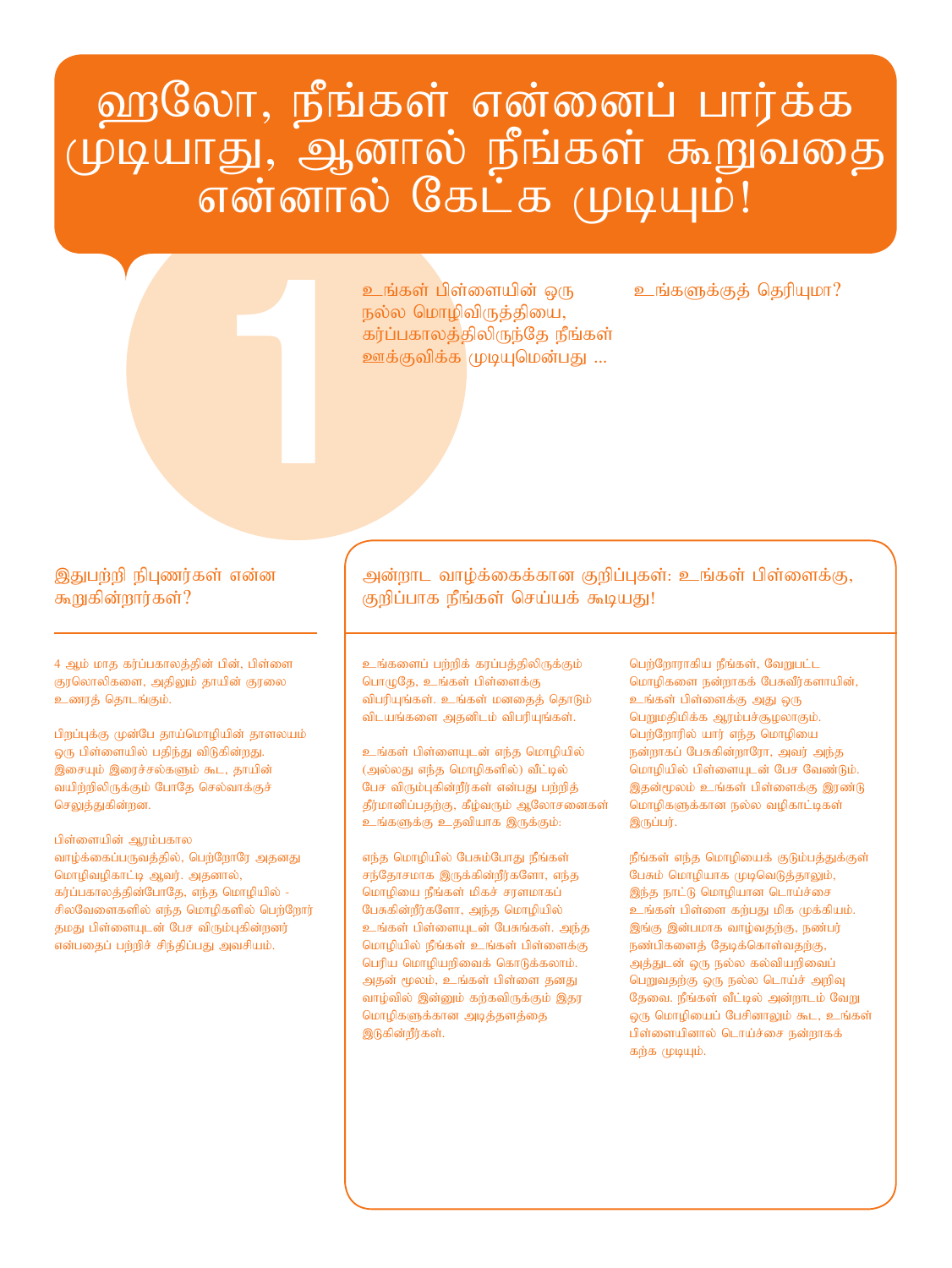# ஹலோ, நீங்கள் என்னைப் பார்க்க முடியாது, ஆனால் நீங்கள் கூறுவதை<br>என்னால் கேட்க முடியும்!

உங்கள் பிள்ளையின் ஒரு உங்களுக்குத் தெரியுமா?<br>நல்ல மொழிவிருத்தியை,<br>கர்ப்பகாலத்திலிருந்தே நீங்கள்<br>ஊக்குவிக்க முடியுமென்பது ...<br>. உங்கள் பிள்ளையின் ஒரு நல்ல மொழிவிருத்தியை, கர்ப்பகாலத்திலிருந்தே நீங்கள் ஊக்குவிக்க முடியுமென்பது ...

#### இதுபற்றி நிபுணர்கள் என்ன கூறுகின்றார்கள்?

4 ஆம் மாத கர்ப்பகாலத்தின் பின், பிள்ளை குரலொலிகளை, அதிலும் தாயின் குரலை உணரத் தொடங்கும்.

பிறப்புக்கு முன்பே தாய்மொழியின் தாளலயம் ஒரு பிள்ளையில் பதிந்து விடுகின்றது. இசையும் இரைச்சல்களும் கூட, தாயின் வயிற்றிலிருக்கும் போதே செல்வாக்குச் செலுத்துகின்றன.

பிள்ளையின் ஆரம்பகால வாழ்க்கைப்பருவத்தில், பெற்றோரே அதனது மொழிவழிகாட்டி ஆவர். அதனால், கர்ப்பகாலத்தின்போதே, எந்த மொழியில் -சிலவேளைகளில் எந்த மொழிகளில் பெற்றோர் தமது பிள்ளையுடன் பேச விரும்புகின்றனர் என்பதைப் பற்றிச் சிந்திப்பது அவசியம்.

அன்றாட வாழ்க்கைக்கான குறிப்புகள்: உங்கள் பிள்ளைக்கு, குறிப்பாக நீங்கள் செய்யக் கூடியது!

உங்களைப் பற்றிக் கரப்பத்திலிருக்கும் பொழுதே, உங்கள் பிள்ளைக்கு விபரியுங்கள். உங்கள் மனதைத் தொடும் விடயங்களை அதனிடம் விபரியுங்கள்.

உங்கள் பிள்ளையுடன் எந்த மொழியில் (அல்லது எந்த மொழிகளில்) வீட்டில் பேச விரும்புகின்றீர்கள் என்பது பற்றித் தீர்மானிப்பதற்கு, கீழ்வரும் ஆலோசனைகள் உங்களுக்கு உதவியாக இருக்கும்:

எந்த மொழியில் பேசும்போது நீங்கள் சந்தோசமாக இருக்கின்றீர்களோ, எந்த மொழியை நீங்கள் மிகச் சரளமாகப் பேசுகின்றீர்களோ, அந்த மொழியில் உங்கள் பிள்ளையுடன் பேசுங்கள். அந்த மொழியில் நீங்கள் உங்கள் பிள்ளைக்கு பெரிய மொழியறிவைக் கொடுக்கலாம். அதன் மூலம், உங்கள் பிள்ளை தனது வாழ்வில் இன்னும் கற்கவிருக்கும் இதர மொழிகளுக்கான அடித்தளத்தை இடுகின்றீர்கள்.

பெர்ரோராகிய நீங்கள், வேறுபட்ட மொழிகளை நன்றாகக் பேசுவீர்களாயின், உங்கள் பிள்ளைக்கு அது ஒரு பெறுமதிமிக்க ஆரம்பச்சூழலாகும். பெற்றோரில் யார் எந்த மொழியை நன்றாகப் பேசுகின்றாரோ, அவர் அந்த மொழியில் பிள்ளையுடன் பேச வேண்டும். இதன்மூலம் உங்கள் பிள்ளைக்கு இரண்டு மொழிகளுக்கான நல்ல வழிகாட்டிகள்  $\mathsf{Q}$ ருப்பர்.

நீங்கள் எந்த மொழியைக் குடும்பத்துக்குள் பேசும் மொழியாக முடிவெடுத்தாலும், இந்த நாட்டு மொழியான டொய்ச்சை உங்கள் பிள்ளை கற்பது மிக முக்கியம். இங்கு இன்பமாக வாழ்வதற்கு, நண்பர் நண்பிகளைத் தேடிக்கொள்வதற்கு, அத்துடன் ஒரு நல்ல கல்வியறிவைப் பெறுவதற்கு ஒரு நல்ல டொய்ச் அறிவு தேவை. நீங்கள் வீட்டில் அன்றாடம் வேறு ஒரு மொழியைப் பேசினாலும் கூட, உங்கள் பிள்ளையினால் டொய்ச்சை நன்றாகக் கற்க முடியும்.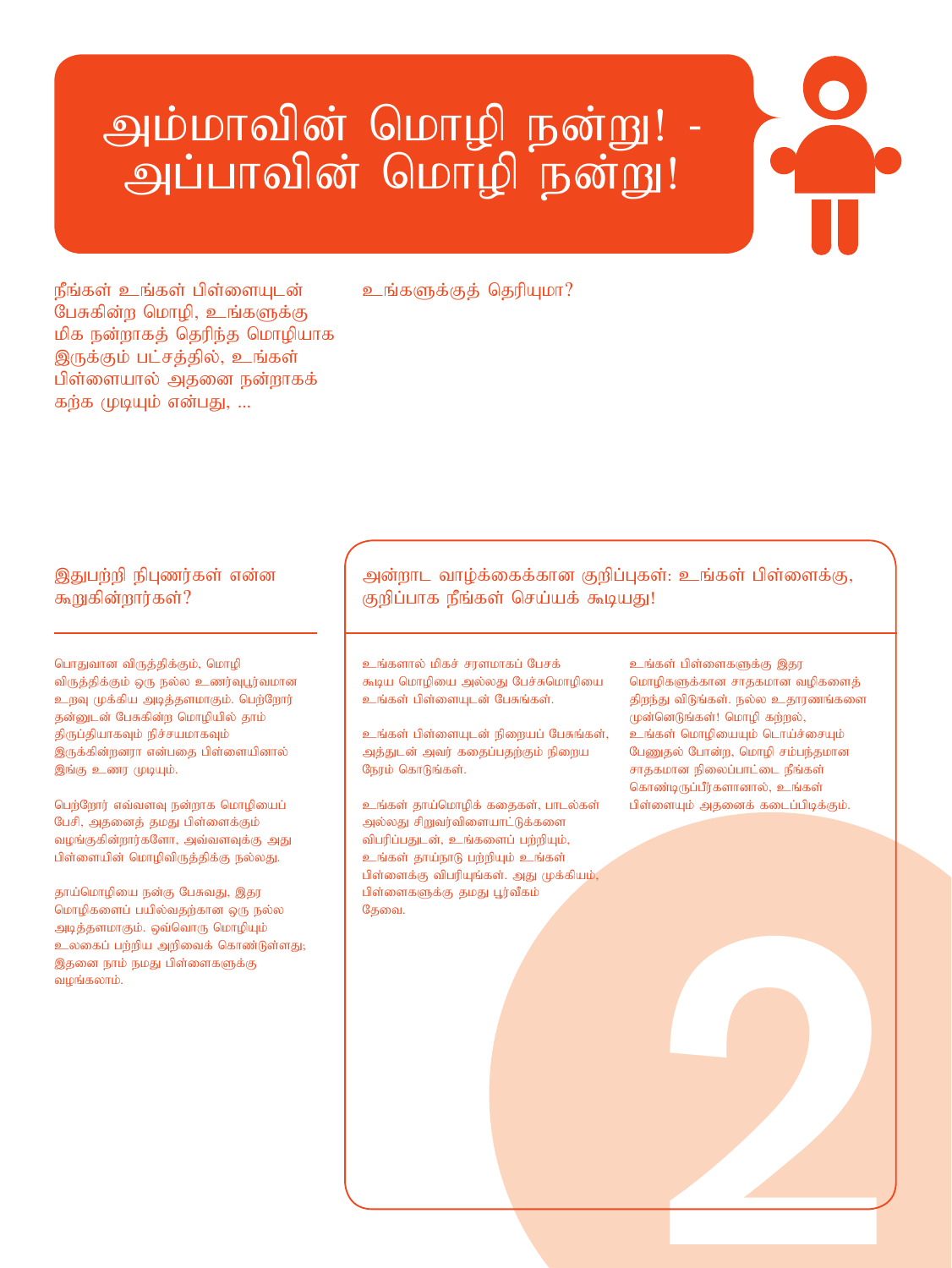## அம்மாவின் மொழி நன்று! -அப்பாவின் மொழி நன்று!

நீங்கள் உங்கள் பிள்ளையுடன் பேசுகின்ற மொழி, உங்களுக்கு மிக நன்றாகத் தெரிந்த மொழியாக இருக்கும் பட்சத்தில், உங்கள் பிள்ளையால் அதனை நன்றாகக் கற்க முடியும் என்பது, ...

#### உங்களுக்குக் தெரியுமா?

#### இதுபற்றி நிபுணர்கள் என்ன கூறுகின்றார்கள்?

பொதுவான விருத்திக்கும், மொழி விருத்திக்கும் ஒரு நல்ல உணர்வுபூர்வமான உறவு முக்கிய அடித்தளமாகும். பெற்றோர் தன்னுடன் பேசுகின்ற மொழியில் தாம் திருப்தியாகவும் நிச்சயமாகவும் இருக்கின்றனரா என்பதை பிள்ளையினால் இங்கு உணர முடியும்.

பெற்றோர் எவ்வளவு நன்றாக மொழியைப் பேசி, அதனைத் தமது பிள்ளைக்கும் வழங்குகின்றார்களோ, அவ்வளவுக்கு அது பிள்ளையின் மொழிவிருத்திக்கு நல்லது.

தாய்மொழியை நன்கு பேசுவது, இதர மொழிகளைப் பயில்வதற்கான ஒரு நல்ல அடித்தளமாகும். ஒவ்வொரு மொழியும் உலகைப் பற்றிய அறிவைக் கொண்டுள்ளது; இதனை நாம் நமது பிள்ளைகளுக்கு வழங்கலாம்.

அன்றாட வாழ்க்கைக்கான குறிப்புகள்: உங்கள் பிள்ளைக்கு, குறிப்பாக நீங்கள் செய்யக் கூடியது!

உங்களால் மிகச் சரளமாகப் பேசக் கூடிய மொழியை அல்லது பேச்சுமொழியை உங்கள் பிள்ளையுடன் பேசுங்கள்.

உங்கள் பிள்ளையுடன் நிறையப் பேசுங்கள், அத்துடன் அவர் கதைப்பதற்கும் நிறைய நேரம் கொடுங்கள்.

உங்கள் தாய்மொழிக் கதைகள், பாடல்கள் அல்லது சிறுவர்விளையாட்டுக்களை விபரிப்பதுடன், உங்களைப் பற்றியும், உங்கள் தாய்நாடு பற்றியும் உங்கள் பிள்ளைக்கு விபரியுங்கள். அது முக்கியம், பிள்ளைகளுக்கு தமது பூர்வீகம் தேவை.

உங்கள் பிள்ளைகளுக்கு இதர மொழிகளுக்கான சாதகமான வழிகளைத் திறந்து விடுங்கள். நல்ல உதாரணங்களை முன்னெடுங்கள்! மொழி கற்றல், உங்கள் மொழியையும் டொய்ச்சையும் பேணுதல் போன்ற, மொழி சம்பந்தமான சாதகமான நிலைப்பாட்டை நீங்கள் கொண்டிருப்பீர்களானால், உங்கள் பிள்ளையும் அதனைக் கடைப்பிடிக்கும்.

2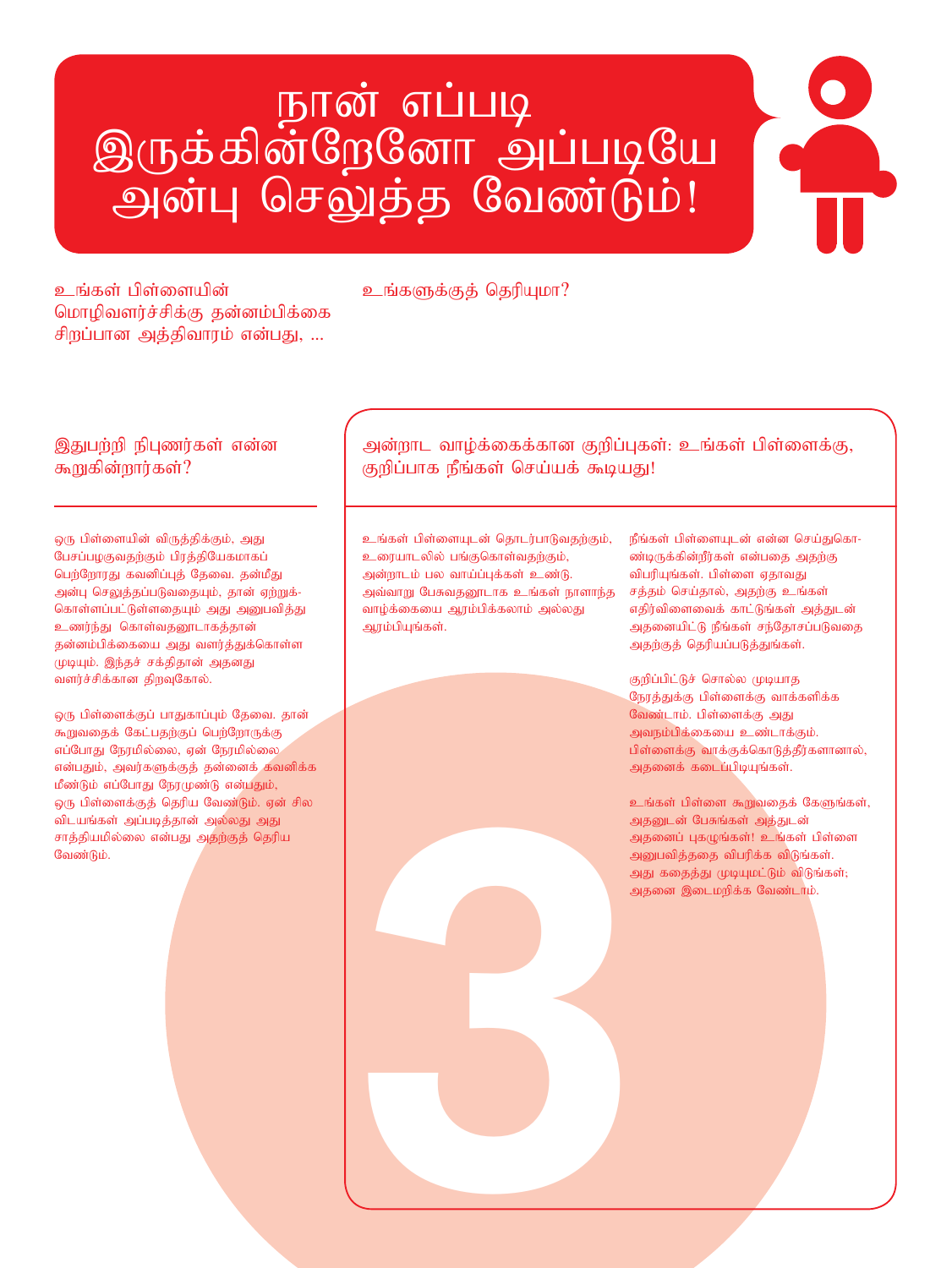# கான் எப்படி<br>இருக்கின்றேனோ அப்படியே அன்பு செலுத்த வேண்டும்!

cq ;fs ; gps ;isapd ; cq;fSf;Fj; njupAkh? மொழிவளர்ச்சிக்கு தன்னம்பிக்கை சிறப்பான அத்திவாரம் என்பது, ...

#### இதுபற்றி நிபுணர்கள் என்ன கூறுகின்றார்கள்?

ஒரு பிள்ளையின் விருத்திக்கும், அது பேசப்பழகுவதற்கும் பிரத்தியேகமாகப் பெற்றோரது கவனிப்புத் தேவை. தன்மீது அன்பு செலுத்தப்படுவதையும், தான் ஏற்றுக்-கொள்ளப்பட்டுள்ளதையும் அது அனுபவித்து உணர்ந்து கொள்வதனூடாகத்தான் தன்னம்பிக்கையை அது வளர்த்துக்கொள்ள முடியும். இந்தச் சக்திதான் அதனது வளர்ச்சிக்கான திறவுகோல்.

ஒரு பிள்ளைக்குப் பாதுகாப்பும் தேவை. தான் கூறுவதைக் கேட்பதற்குப் பெற்றோருக்கு எப்போது நேரமில்லை, ஏன் நேரமில்லை என்பதும், அவர்களுக்குத் தன்னைக் கவனிக்க மீண்டும் எப்போது நேரமுண்டு என்பதும், ஒரு பிள்ளைக்குத் தெரிய வேண்டும். ஏன் சில விடயங்கள் அப்படித்தான் அல்லது அது சாத்தியமில்லை என்பது அதற்குத் தெரிய வேண்டும்.

அன்றாட வாழ்க்கைக்கான குறிப்புகள்: உங்கள் பிள்ளைக்கு, குறிப்பாக நீங்கள் செய்யக் கூடியது!

உங்கள் பிள்ளையுடன் தொடர்பாடுவதற்கும், உரையாடலில் பங்குகொள்வதற்கும், அன்றாடம் பல வாய்ப்புக்கள் உண்டு. அவ்வாறு பேசுவதனூடாக உங்கள் நாளாந்த வாழ்க்கையை ஆரம்பிக்கலாம் ,அல்லது அரம்பியுங்கள்.

நீங்கள் பிள்ளையுடன் என்ன செய்துகொ-ண்டிருக்கின்றீர்கள் என்பதை அதற்கு விபரியுங்கள். பிள்ளை ஏதாவது சத்தம் செய்தால், அதற்கு உங்கள் எதிர்விளைவைக் காட்டுங்கள் ,அக்குடன் அதனையிட்டு நீங்கள் சந்தோசப்படுவதை அதற்குத் தெரியப்படுத்துங்கள்.

குறிப்பிட்டுச் சொல்ல முடியாக நேரத்துக்கு பிள்ளைக்கு வாக்களிக்க வேண்டாம். பிள்ளைக்கு அது அவநம்பிக்கையை உண்டாக்கும். பிள்ளைக்கு வாக்குக்கொடுத்தீர்களானால், அதனைக் கடைப்பிடியுங்கள்.

3 உங்கள் பிள்ளை கூறுவதைக் கேளுங்கள், அதனுடன் பேசுங்கள் அத்துடன் அதனைப் புகழுங்கள்! உங்கள் பிள்ளை அனுபவித்ததை விபரிக்க விடுங்கள். அது கதைத்து முடியுமட்டும் விடுங்கள்; அதனை இடைமறிக்க வேண்டாம்.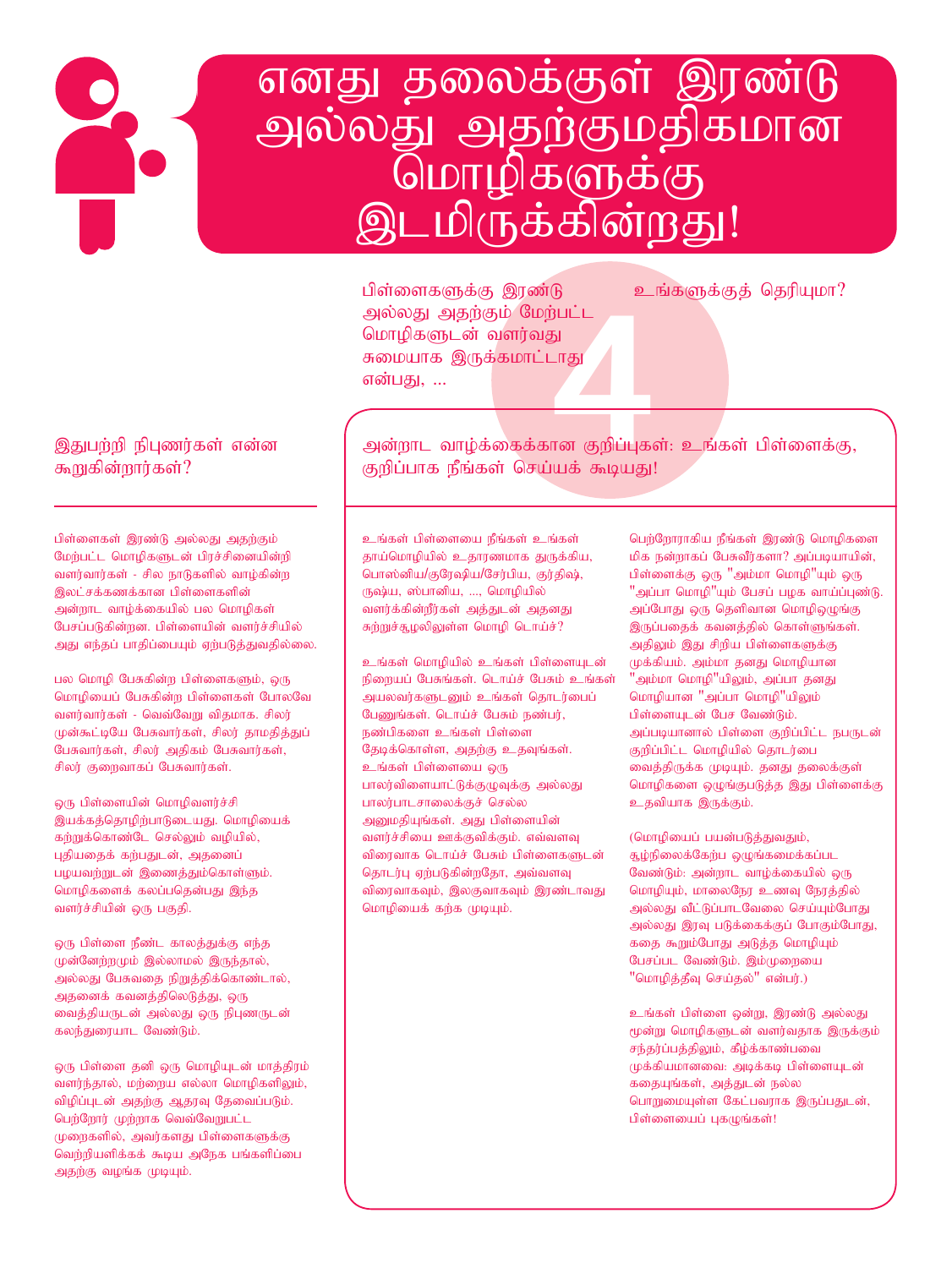## எனது தலைக்குள் இரண்டு அல்லது அதற்குமதிகமான<br>மொழிகளுக்கு இடமிருக்கின்றது!

gps ;isfSf ;F ,uz ;L cq ;fSf ;Fj ; njupAkh? அல்லது அதற்கும் மேற்பட்ட மொழிகளுடன் வளர்வது சுமையாக இருக்கமாட்டாது என்பது, *...* 

#### இதுபற்றி நிபுணர்கள் என்ன கூறுகின்றார்கள்?

பிள்ளைகள் இரண்டு அல்லது அதற்கும் மேற்பட்ட மொழிகளுடன் பிரச்சினையின்றி வளர்வார்கள் - சில நாடுகளில் வாழ்கின்ற இலட்சக்கணக்கான பிள்ளைகளின் அன்றாட வாழ்க்கையில் பல மொழிகள் பேசப்படுகின்றன. பிள்ளையின் வளர்ச்சியில் அது எந்தப் பாதிப்பையும் ஏற்படுத்துவதில்லை.

பல மொழி பேசுகின்ற பிள்ளைகளும், ஒரு மொழியைப் பேசுகின்ற பிள்ளைகள் போலவே வளர்வார்கள் - வெவ்வேறு விதமாக. சிலர் முன்கூட்டியே பேசுவார்கள், சிலர் தாமதித்துப் பேசுவார்கள், சிலர் அதிகம் பேசுவார்கள், சிலர் குறைவாகப் பேசுவார்கள்.

ஒரு பிள்ளையின் மொழிவளர்ச்சி இயக்கத்தொழிற்பாடுடையது. மொழியைக் கற்றுக்கொண்டே செல்லும் வழியில், புதியதைக் கற்பதுடன், அதனைப் பழயவற்றுடன் இணைத்தும்கொள்ளும். மொழிகளைக் கலப்பதென்பது இந்த வளர்ச்சியின் ஒரு பகுதி.

ஒரு பிள்ளை நீண்ட காலத்துக்கு எந்த முன்னேற்றமும் இல்லாமல் இருந்தால், அல்லது பேசுவதை நிறுத்திக்கொண்டால், அதனைக் கவனத்திலெடுத்து, ஒரு வைத்தியருடன் அல்லது ஒரு நிபுணருடன் கலந்துரையாட வேண்டும்.

ஒரு பிள்ளை தனி ஒரு மொழியுடன் மாத்திரம் வளர்ந்தால், மற்றைய எல்லா மொழிகளிலும், விழிப்புடன் அதற்கு ஆதரவு தேவைப்படும். பெற்றோர் முற்றாக வெவ்வேறுபட்ட  $(\mu$ றைகளில், அவர்களது பிள்ளைகளுக்கு வெற்றியளிக்கக் கூடிய அநேக பங்களிப்பை அதற்கு வழங்க முடியும்.

ு<br>நுட்ட<br>நு<br>பாது<br>யக் கூடியது!<br>யக் கூடியது! அன்றாட வாழ்க்கைக்கான குறிப்புகள்: உங்கள் பிள்ளைக்கு, குறிப்பாக நீங்கள் செய்யக் கூடியது!

உங்கள் பிள்ளையை நீங்கள் உங்கள் தாய்மொழியில் உதாரணமாக துருக்கிய, பொஸ்னிய/குரேஷிய/சேர்பிய, குர்திஷ், ருஷ்ய, ஸ்பானிய, ..., மொழியில் வளர்க்கின்றீர்கள் அக்குடன் அதனது சுற்றுச்சூழலிலுள்ள மொழி டொய்ச் $?$ 

உங்கள் மொழியில் உங்கள் பிள்ளையுடன் நிறையப் பேசுங்கள். டொய்ச் பேசும் உங்கள் அயலவர்களுடனும் உங்கள் தொடர்பைப் பேறைங்கள். டொய்ச் பேசும் நண்பர், நண்பிகளை உங்கள் பிள்ளை தேடிக்கொள்ள, அதற்கு உதவுங்கள். உங்கள் பிள்ளையை ஒரு பாலர்விளையாட்டுக்குமுவுக்கு அல்லது பாலர்பாடசாலைக்குச் செல்ல அனுமதியுங்கள். அது பிள்ளையின் வளர்ச்சியை ஊக்குவிக்கும். எவ்வளவு விரைவாக டொய்ச் பேசும் பிள்ளைகளுடன் தொடர்பு ஏற்படுகின்றதோ, அவ்வளவு விரைவாகவும், இலகுவாகவும் இரண்டாவது மொழியைக் கற்க முடியும்.

பெற்றோராகிய நீங்கள் இரண்டு மொழிகளை மிக நன்றாகப் பேசுவீர்களா? அப்படியாயின், பிள்ளைக்கு ஒரு "அம்மா மொழி"யும் ஒரு  $"$ அப்பா மொழி $"$ யும் பேசப் பழக வாய்ப்புண்டு. அப்போது ஒரு தெளிவான மொழிஒமுங்கு இருப்பதைக் கவனத்தில் கொள்ளுங்கள். அதிலும் இது சிறிய பிள்ளைகளுக்கு முக்கியம். அம்மா தனது மொழியான "அம்மா மொழி"யிலும், அப்பா தனது மொழியான "அப்பா மொழி"யிலும் பிள்ளையுடன் பேச வேண்டும். அப்படியானால் பிள்ளை குறிப்பிட்ட நபருடன் குறிப்பிட்ட மொழியில் தொடர்பை வைத்திருக்க முடியும். தனது தலைக்குள் மொழிகளை ஒழுங்குபடுத்த இது பிள்ளைக்கு உதவியாக இருக்கும்.

(மொழியைப் பயன்படுத்துவதும்,  $q_{\rm s}$ ழ்நிலைக்கேற்ப $q_{\rm s}$ ழுங்கமைக்கப்பட வேண்டும்: அன்றாட வாழ்க்கையில் ஒரு மொழியும், மாலைநேர உணவு நேரத்தில் அல்லது வீட்டுப்பாடவேலை செய்யும்போது அல்லது இரவு படுக்கைக்குப் போகும்போது, கதை கூறும்போது அடுத்த மொழியும் பேசப்பட வேண்டும். இம்முறையை "மொழித்தீவு செய்தல்" என்பர்.)

உங்கள் பிள்ளை ஒன்று, இரண்டு அல்லது மூன்று மொழிகளுடன் வளர்வதாக இருக்கும் சந்தர்ப்பத்திலும், கீழ்க்காண்பவை  $(p$ க்கியமானவை: அடிக்கடி பிள்ளையுடன் கதையுங்கள், அத்துடன் நல்ல பொறுமையுள்ள கேட்பவராக இருப்பதுடன், பிள்ளையைப் புகழுங்கள்!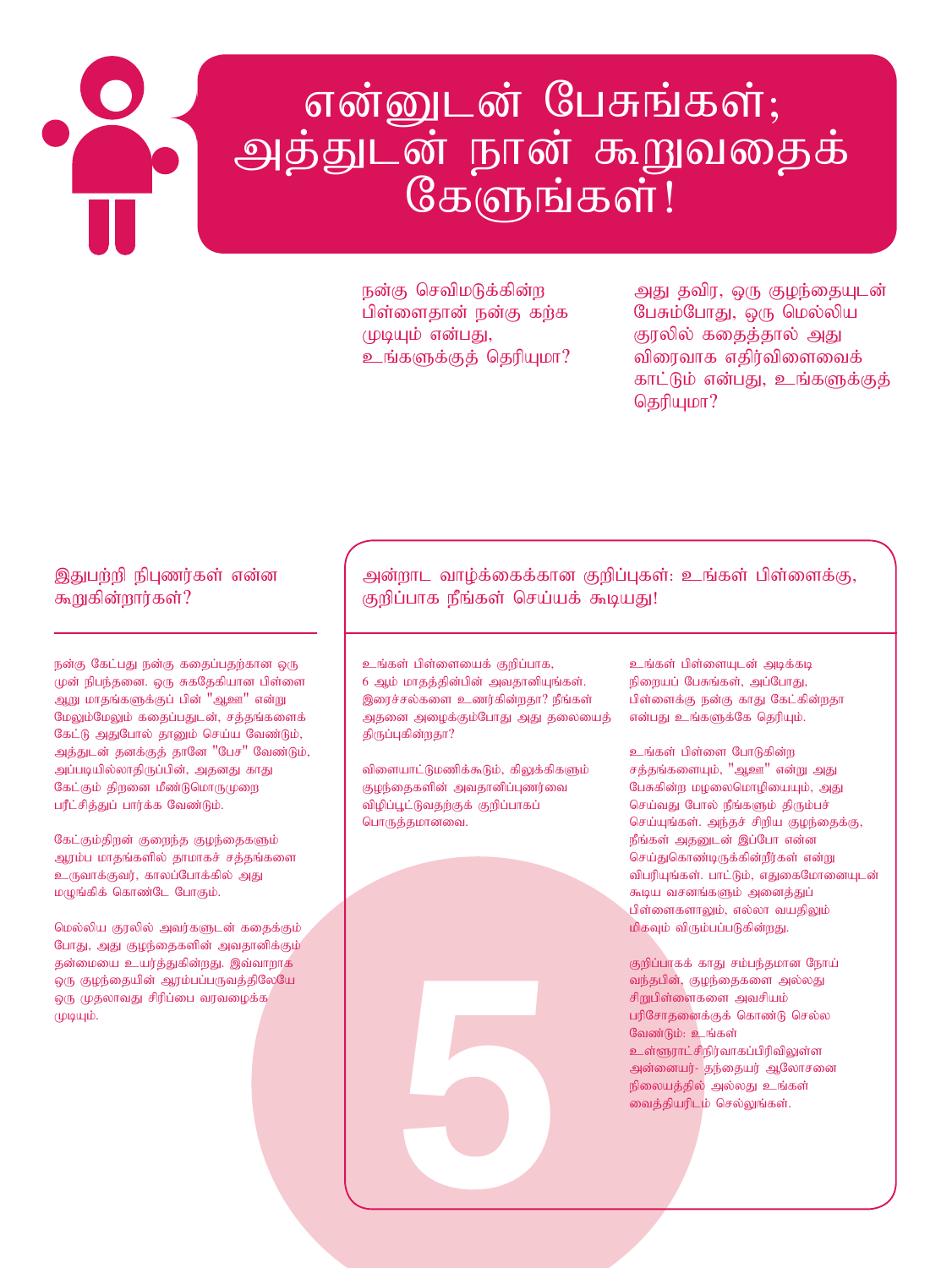# என்னுடன் பேசுங்கள்; அத்துடன் நான் கூறுவதைக்<br>கேளுங்கள்!

நன்கு செவிமடுக்கின்ற பிள்ளைதான் நன்கு கற்க முடியும் என்பது, உங்களுக்குத் தெரியுமா? அது தவிர, ஒரு குழந்தையுடன் பேசும்போது, ஒரு மெல்லிய குரலில் கதைத்தால் அது விரைவாக எதிர்விளைவைக் காட்டும் என்பது, உங்களுக்குத் தெரியுமா $?$ 

#### இதுபற்றி நிபுணர்கள் என்ன கூறுகின்றார்கள்?

நன்கு கேட்பது நன்கு கதைப்பதற்கான ஒரு முன் நிபந்தனை. ஒரு சுகதேகியான பிள்ளை ஆறு மாதங்களுக்குப் பின் "ஆஊ" என்று மேலும்மேலும் கதைப்பதுடன், சத்தங்களைக் கேட்டு அதுபோல் தானும் செய்ய வேண்டும், அத்துடன் தனக்குத் தானே "பேச" வேண்டும், அப்படியில்லாதிருப்பின், அதனது காது கேட்கும் திறனை மீண்டுமொருமுறை பரீட்சித்துப் பார்க்க வேண்டும்.

கேட்கும்திறன் குறைந்த குழந்தைகளும் ஆரம்ப மாதங்களில் தாமாகச் சத்தங்களை உருவாக்குவர், காலப்போக்கில் அது மழுங்கிக் கொண்டே போகும்.

மெல்லிய குரலில் அவர்களுடன் கதைக்கும் போது, அது குழந்தைகளின் அவதானிக்கும் தன்மையை உயர்த்துகின்றது. இவ்வாறாக ஒரு குழந்தையின் ஆரம்பப்பருவத்திலேயே ஒரு முதலாவது சிரிப்பை வரவழைக்க $\ell$  $(\mathfrak{p} \mathfrak{p} \mathfrak{u} \mathfrak{p}).$ 

அன்றாட வாழ்க்கைக்கான குறிப்புகள்: உங்கள் பிள்ளைக்கு, குறிப்பாக நீங்கள் செய்யக் கூடியது!

உங்கள் பிள்ளையைக் குறிப்பாக, 6 ஆம் மாதத்தின்பின் அவதானியுங்கள். இரைச்சல்களை உணர்கின்றதா? நீங்கள் அதனை அழைக்கும்போது அது தலையைத் திருப்புகின்றதா?

விளையாட்டுமணிக்கூடும், கிலுக்கிகளும் குழந்தைகளின் அவதானிப்புணர்வை விழிப்பூட்டுவதற்குக் குறிப்பாகப் பொருத்தமானவை.

5

உங்கள் பிள்ளையுடன் அடிக்கடி நிறையப் பேசுங்கள், அப்போது, பிள்ளைக்கு நன்கு காது கேட்கின்றதா என்பது உங்களுக்கே தெரியும்.

உங்கள் பிள்ளை போடுகின்ற சத்தங்களையும், "அ $_{20}$ ள" என்று அது பேசுகின்ற மழலைமொழியையும், அது செய்வது போல் நீங்களும் திரும்பச் செய்யுங்கள். அந்தச் சிறிய குழந்தைக்கு, நீங்கள் அதனுடன் இப்போ என்ன செய்துகொண்டிருக்கின்றீர்கள் என்று விபரியுங்கள். பாட்டும், எதுகைமோனையுடன் கூடிய வசனங்களும் அனைத்துப் பிள்ளைகளாலும், எல்லா வயதிலும்  $\mathbf{b}$ கவும் விரும்பப்படுகின்றது.

குறிப்பாகக் காது சம்பந்தமான நோய் வந்தபின், குழந்தைகளை அல்லது சிறுபிள்ளைகளை அவசியம் பரிசோதனைக்குக் கொண்டு செல்ல வேண்டும்: உங்கள் உள்ளூராட்சிநிர்வாகப்பிரிவிலுள்ள அன்னையர்- தந்தையர் ஆலோசனை நிலையத்தில் அல்லது உங்கள் வைத்தியரிடம் செல்லுங்கள்.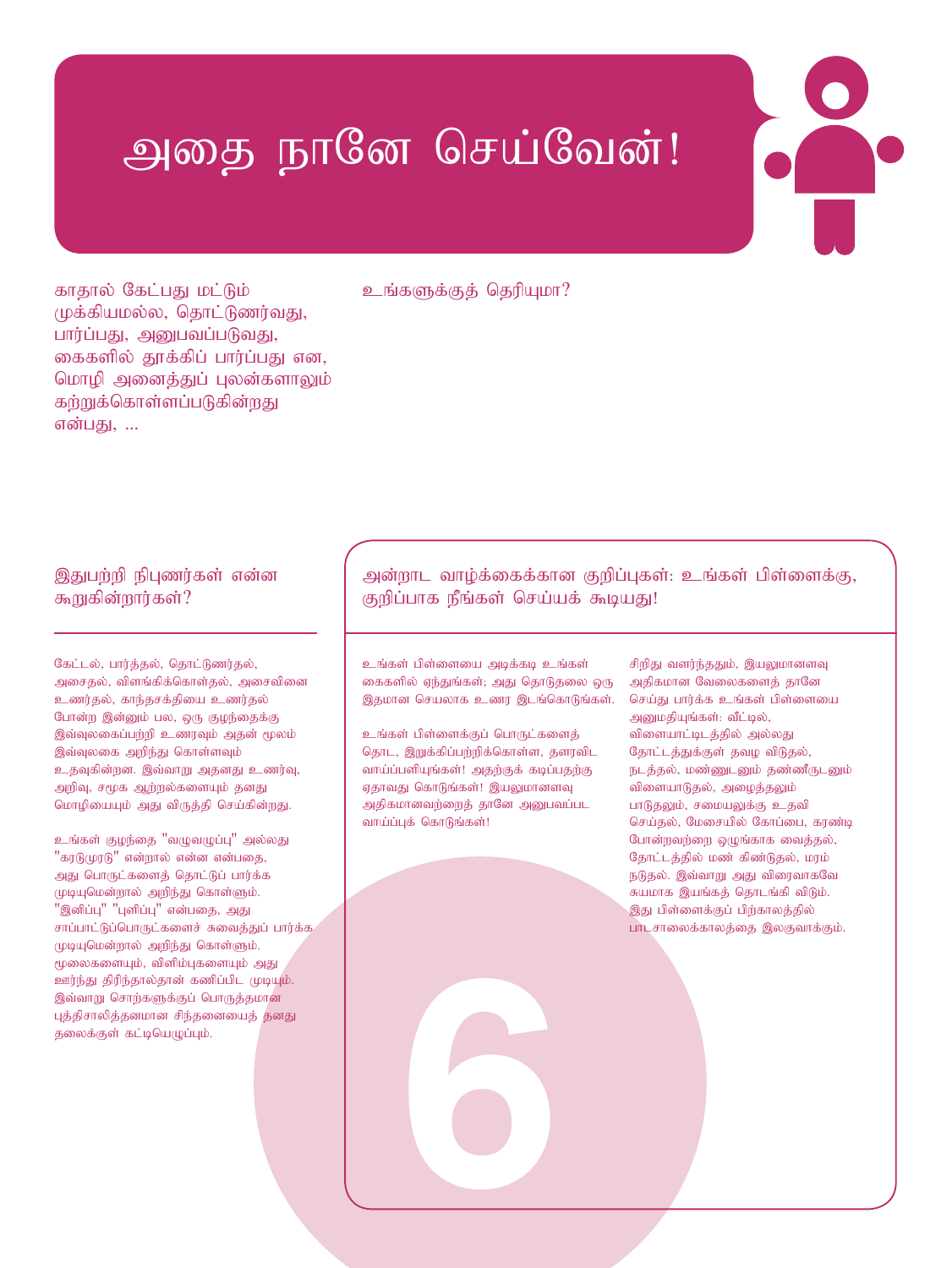## அதை நானே செய்வேன்!

காதால் கேட்பது மட்டும் முக்கியமல்ல, தொட்டுணர்வது, பார்ப்பது, அனுபவப்படுவது, கைகளில் தூக்கிப் பார்ப்பது என, மொழி அனைத்துப் புலன்களாலும் கற்றுக்கொள்ளப்படுகின்றது என்பது, ...

#### உங்களுக்குக் தெரியுமா?

#### இதுபற்றி நிபுணர்கள் என்ன கூறுகின்றார்கள்?

கேட்டல், பார்த்தல், தொட்டுணர்தல், அசைதல், விளங்கிக்கொள்தல், அசைவினை உணர்தல், காந்தசக்தியை உணர்தல் போன்ற இன்னும் பல, ஒரு குழந்தைக்கு இவ்வுலகைப்பந்நி உணரவும் அதன் மூலம் இவ்வுலகை அறிந்து கொள்ளவும் உதவுகின்றன. இவ்வாறு அதனது உணர்வு, அறிவு, சமூக ஆற்றல்களையும் தனது மொழியையும் அது விருத்தி செய்கின்றது.

உங்கள் குழந்தை "வழுவழுப்பு" அல்லது  $"$ கரடு $(\mu)$ ரடு $"$  என்றால் என்ன என்பதை, அது பொருட்களைத் தொட்டுப் பார்க்க முடியுமென்றால் அறிந்து கொள்ளும்.  $"$ இனிப்பு $"$  "புளிப்பு $"$  என்பதை, அது சாப்பாட்டுப்பொருட்களைச் சுவைத்துப் பார்க்க $\epsilon$ முடியுமென்றால் அறிந்து கொள்ளும். மூலைகளையும், விளிம்புகளையும் அது ஊர்ந்து திரிந்தால்தான் கணிப்பிட முடியும். இவ்வாறு சொற்களுக்குப் பொருத்தமான புத்திசாலித்தனமான சிந்தனையைத் தனது தலைக்குள் கட்டியெழுப்பும்.

#### அன்றாட வாழ்க்கைக்கான குறிப்புகள்: உங்கள் பிள்ளைக்கு, குறிப்பாக நீங்கள் செய்யக் கூடியது!

உங்கள் பிள்ளையை அடிக்கடி உங்கள் கைகளில் ஏந்துங்கள்; அது தொடுதலை ஒரு இதமான செயலாக உணர இடங்கொடுங்கள்.

உங்கள் பிள்ளைக்குப் பொருட்களைத் தொட, இறுக்கிப்பற்றிக்கொள்ள, தளரவிட வாய்ப்பளியுங்கள்! அதற்குக் கடிப்பதற்கு ஏதாவது கொடுங்கள்! இயலுமானளவு அதிகமானவற்றைத் தானே அனுபவப்பட வாய்ப்புக் கொடுங்கள்!

6

சிறிது வளர்ந்ததும், இயலுமானளவு அதிகமான வேலைகளைத் தானே செய்து பார்க்க உங்கள் பிள்ளையை அனுமதியுங்கள்: வீட்டில், விளையாட்டிடத்தில் அல்லது தோட்டத்துக்குள் தவழ விடுதல், நடத்தல், மண்ணுடனும் தண்ணீருடனும் விளையாடுதல், அழைத்தலும் பாடுதலும், சமையலுக்கு உதவி செய்தல், மேசையில் கோப்பை, கரண்டி போன்றவற்றை ஒழுங்காக வைத்தல், தோட்டத்தில் மண் கிண்டுதல், மரம் நடுதல். இவ்வாறு அது விரைவாகவே சுயமாக இயங்கத் தொடங்கி விடும். இது பிள்ளைக்குப் பிற்காலத்தில் பாடசாலைக்காலத்தை இலகுவாக்கும்.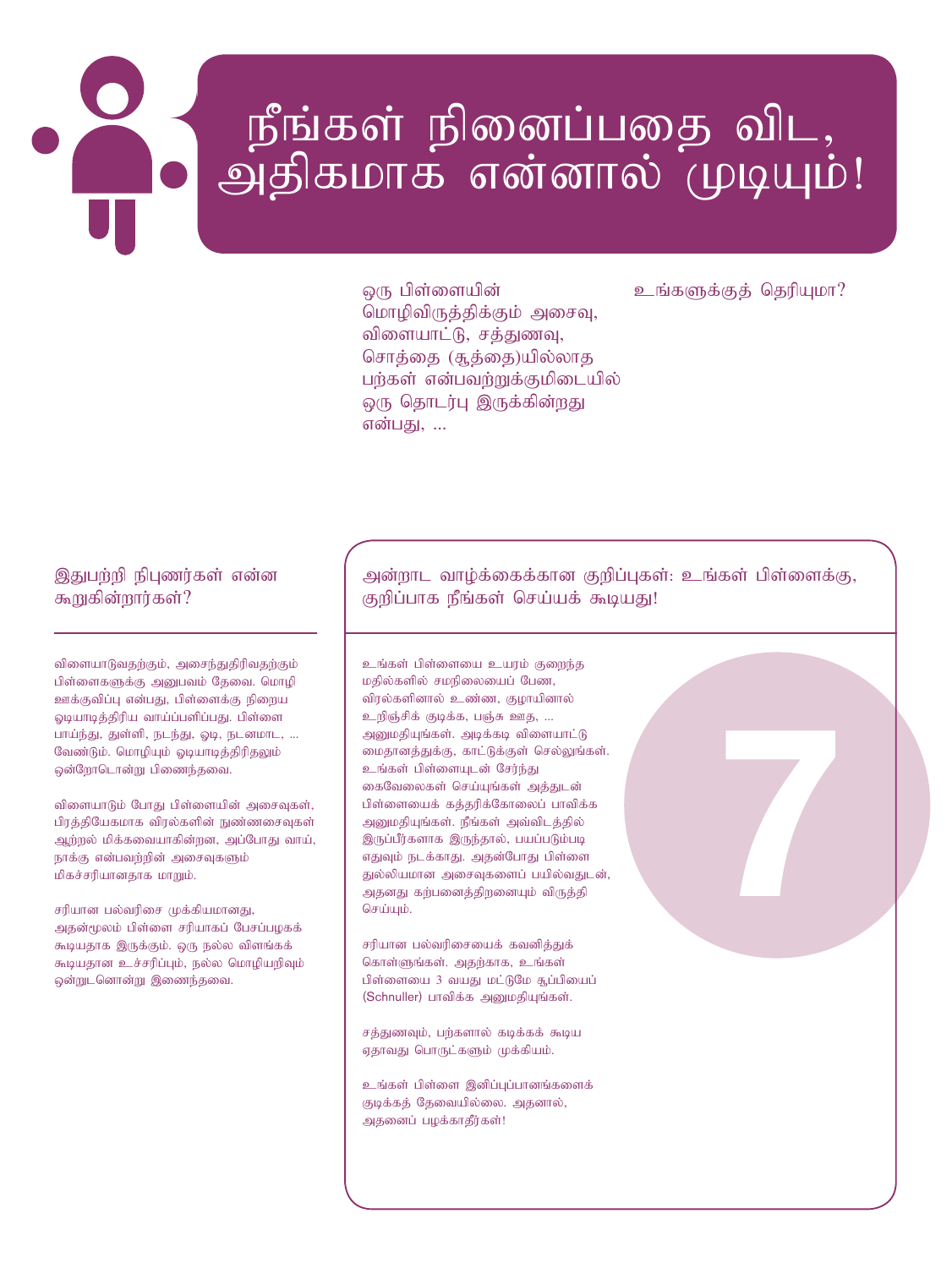# நீங்கள் நினைப்பதை விட,<br>அதிகமாக என்னால் முடியும்!

ஒரு பிள்ளையின் மொழிவிருத்திக்கும் அசைவு, விளையாட்டு, சத்துணவு, சொத்தை (சூத்தை)யில்லாத பர்கள் என்பவர்றுக்குமிடையில் ஒரு தொடர்பு இருக்கின்றது என்பகு, ...

#### உங்களுக்குக் தெரியுமா?

இதுபற்றி நிபுணர்கள் என்ன கூறுகின்றார்கள்?

விளையாடுவதற்கும், அசைந்துதிரிவதற்கும் பிள்ளைகளுக்கு அனுபவம் தேவை. மொழி ஊக்குவிப்பு என்பது, பிள்ளைக்கு நிறைய ஓடியாடித்திரிய வாய்ப்பளிப்பது. பிள்ளை பாய்ந்து, துள்ளி, நடந்து, ஓடி, நடனமாட, ... வேண்டும். மொழியும் ஓடியாடித்திரிதலும் ஒன்ரோடொன்று பிணைந்தவை.

விளையாடும் போது பிள்ளையின் அசைவுகள், பிரத்தியேகமாக விரல்களின் நுண்ணசைவுகள் ஆற்றல் மிக்கவையாகின்றன, அப்போது வாய், நாக்கு என்பவற்றின் அசைவுகளும் மிகச்சரியானதாக மாறும்.

சரியான பல்வரிசை முக்கியமானது, அதன்மூலம் பிள்ளை சரியாகப் பேசப்பழகக் கூடியதாக இருக்கும். ஒரு நல்ல விளங்கக் கூடியதான உச்சரிப்பும், நல்ல மொழியறிவும் ஒன்றுடனொன்று இணைந்தவை.

அன்றாட வாழ்க்கைக்கான குறிப்புகள்: உங்கள் பிள்ளைக்கு, குறிப்பாக நீங்கள் செய்யக் கூடியது!

உங்கள் பிள்ளையை உயரம் குறைந்த மதில்களில் சமநிலையைப் பேண, விரல்களினால் உண்ண, குழாயினால் உறிஞ்சிக் குடிக்க, பஞ்சு ஊத, ... அனுமதியுங்கள். அடிக்கடி விளையாட்டு மைதானத்துக்கு, காட்டுக்குள் செல்லுங்கள். உங்கள் பிள்ளையுடன் சேர்ந்து கைவேலைகள் செய்யுங்கள் அக்குடன் பிள்ளையைக் கத்தரிக்கோலைப் பாவிக்க அனுமதியுங்கள். நீங்கள் அவ்விடத்தில் இருப்பீர்களாக இருந்தால், பயப்படும்படி எதுவும் நடக்காது. அதன்போது பிள்ளை துல்லியமான அசைவுகளைப் பயில்வதுடன், அதனது கற்பனைத்திறனையும் விருத்தி செய்யும்.

சரியான பல்வரிசையைக் கவனித்துக் கொள்ளுங்கள். அதற்காக, உங்கள் பிள்ளையை 3 வயது மட்டுமே சூப்பியைப் (Schnuller) பாவிக்க அனுமதியுங்கள்.

சத்துணவும், பற்களால் கடிக்கக் கூடிய ஏதாவது பொருட்களும் முக்கியம்.

உங்கள் பிள்ளை இனிப்புப்பானங்களைக் குடிக்கத் தேவையில்லை. அதனால், அதனைப் பழக்காதீர்கள்!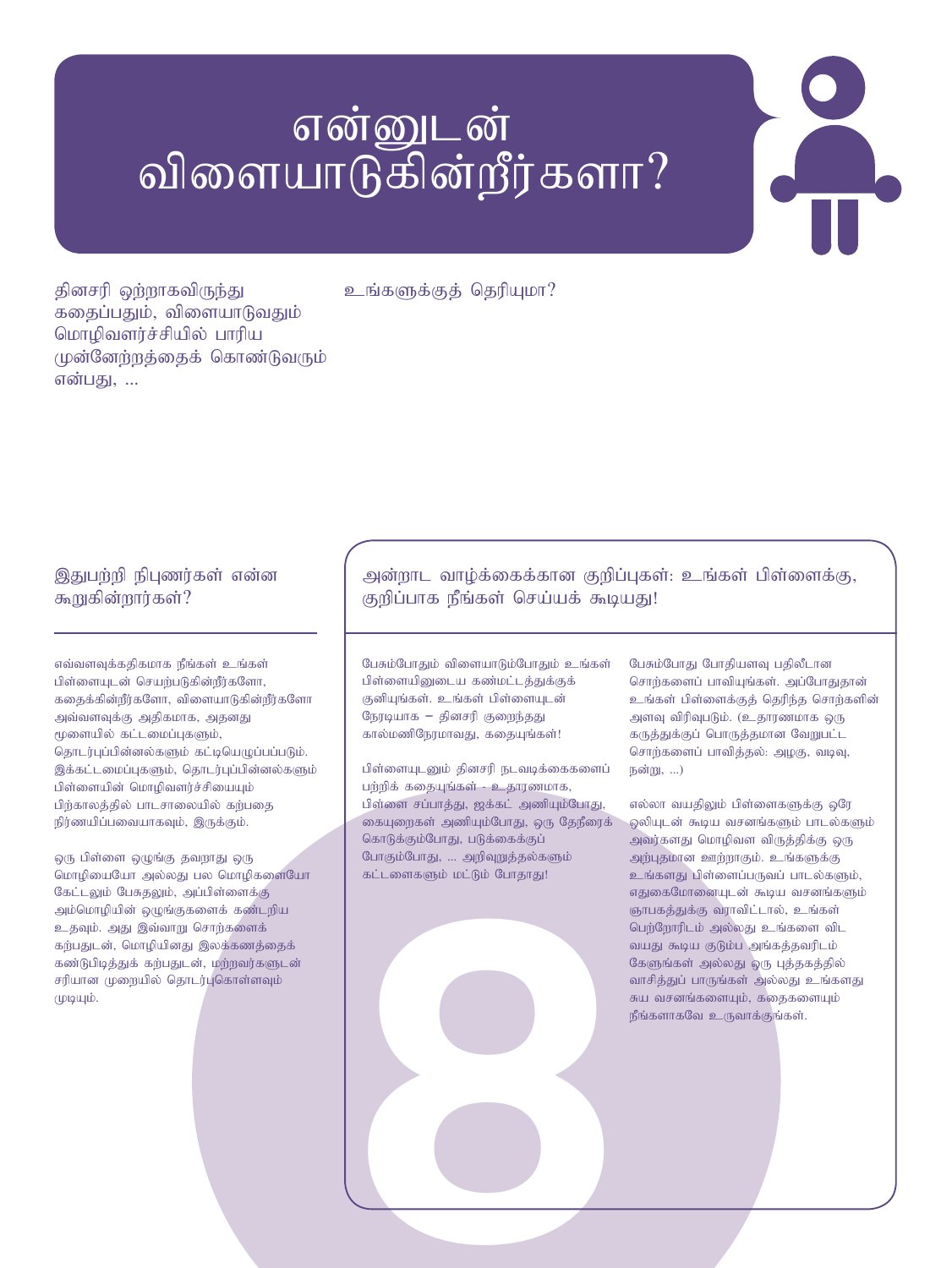## என்னுடன் விளையாடுகின்றீர்களா?

தினசரி ஒற்றாகவிருந்து கதைப்பதும், விளையாடுவதும் மொழிவளர்ச்சியில் பாரிய முன்னேற்றத்தைக் கொண்டுவரும் என்பகு. ...

உங்களுக்குக் தெரியுமா?

#### இதுபற்றி நிபுணர்கள் என்ன கூறுகின்றார்கள்?

எவ்வளவுக்கதிகமாக நீங்கள் உங்கள் பிள்ளையுடன் செயற்படுகின்றீர்களோ,  $f$ கதைக்கின்றீர்களோ, விளையாடுகின்றீர்களோ அவ்வளவுக்கு அதிகமாக, அதனது மூளையில் கட்டமைப்புகளும், தொடர்புப்பின்னல்களும் கட்டியெழுப்பப்படும். இக்கட்டமைப்புகளும், தொடர்புப்பின்னல்களும் பிள்ளையின் மொழிவளர்ச்சியையும் பிற்காலத்தில் பாடசாலையில் கற்பதை நிர்ணயிப்பவையாகவும், இருக்கும்.

ஒரு பிள்ளை ஒழுங்கு தவறாது ஒரு மொழியையோ அல்லது பல மொழிகளையோ கேட்டலும் பேசுதலும், அப்பிள்ளைக்கு அம்மொழியின் ஒழுங்குகளைக் கண்டறிய உதவும். அது இவ்வாறு சொற்களைக் கற்பதுடன், மொழியினது இலக்கணத்தைக் கண்டுபிடித்துக் கற்பதுடன், மற்றவர்களுடன் சரியான முறையில் தொடர்புகொள்ளவும்  $(\mu\mu\mu)$ .

#### அன்றாட வாழ்க்கைக்கான குறிப்புகள்: உங்கள் பிள்ளைக்கு, குறிப்பாக நீங்கள் செய்யக் கூடியது!

பேசும்போதும் விளையாடும்போதும் உங்கள் பிள்ளையினுடைய கண்மட்டத்துக்குக் குனியுங்கள். உங்கள் பிள்ளையுடன் நேரடியாக – தினசரி குறைந்தது .<br>கால்மணிநேரமாவது, கதையுங்கள்!

கட்டளைகளும் மட்டும் போதாது!<br>|-<br>|-பிள்ளையுடனும் தினசரி நடவடிக்கைகளைப் பர்றிக் கதையுங்கள் - உதாரணமாக, பிள்ளை சப்பாத்து, ஜக்கட் அணியும்போது, கையுறைகள் அணியும்போது, ஒரு தேநீரைக் கொடுக்கும்போது, படுக்கைக்குப் போகும்போது, ... அறிவுறுத்தல்களும் கட்டளைகளும் மட்டும் போதாது!

பேசும்போது போதியளவு பதிலீடான சொந்களைப் பாவியுங்கள். அப்போதுதான் உங்கள் பிள்ளைக்குத் தெரிந்த சொற்களின் அளவு விரிவுபடும். (உதாரணமாக ஒரு கருத்துக்குப் பொருத்தமான வேறுபட்ட சொந்களைப் பாவித்தல்: அழகு, வடிவு,  $F_0$ ன்று, ...)

எல்லா வயதிலும் பிள்ளைகளுக்கு ஒரே ஒலியுடன் கூடிய வசனங்களும் பாடல்களும் அவர்களது மொழிவள விருத்திக்கு ஒரு அற்புதமான ஊற்றாகும். உங்களுக்கு உங்களது பிள்ளைப்பருவப் பாடல்களும், எதுகைமோனையுடன் கூடிய வசனங்களும் ஞாபகத்துக்கு வராவிட்டால், உங்கள் .<br>பெற்றோரிடம் அல்லது உங்களை விட வயது கூடிய குடும்ப அங்கத்தவரிடம் கேளுங்கள் அல்லது ஒரு புத்தகத்தில் வாசித்துப் பாருங்கள் அல்லது உங்களது சுய வசனங்களையும், கதைகளையும்  $\mathsf{g}_1\mathsf{g}_2\mathsf{g}_3$ ங்களாகவே உருவாக்குங்கள்.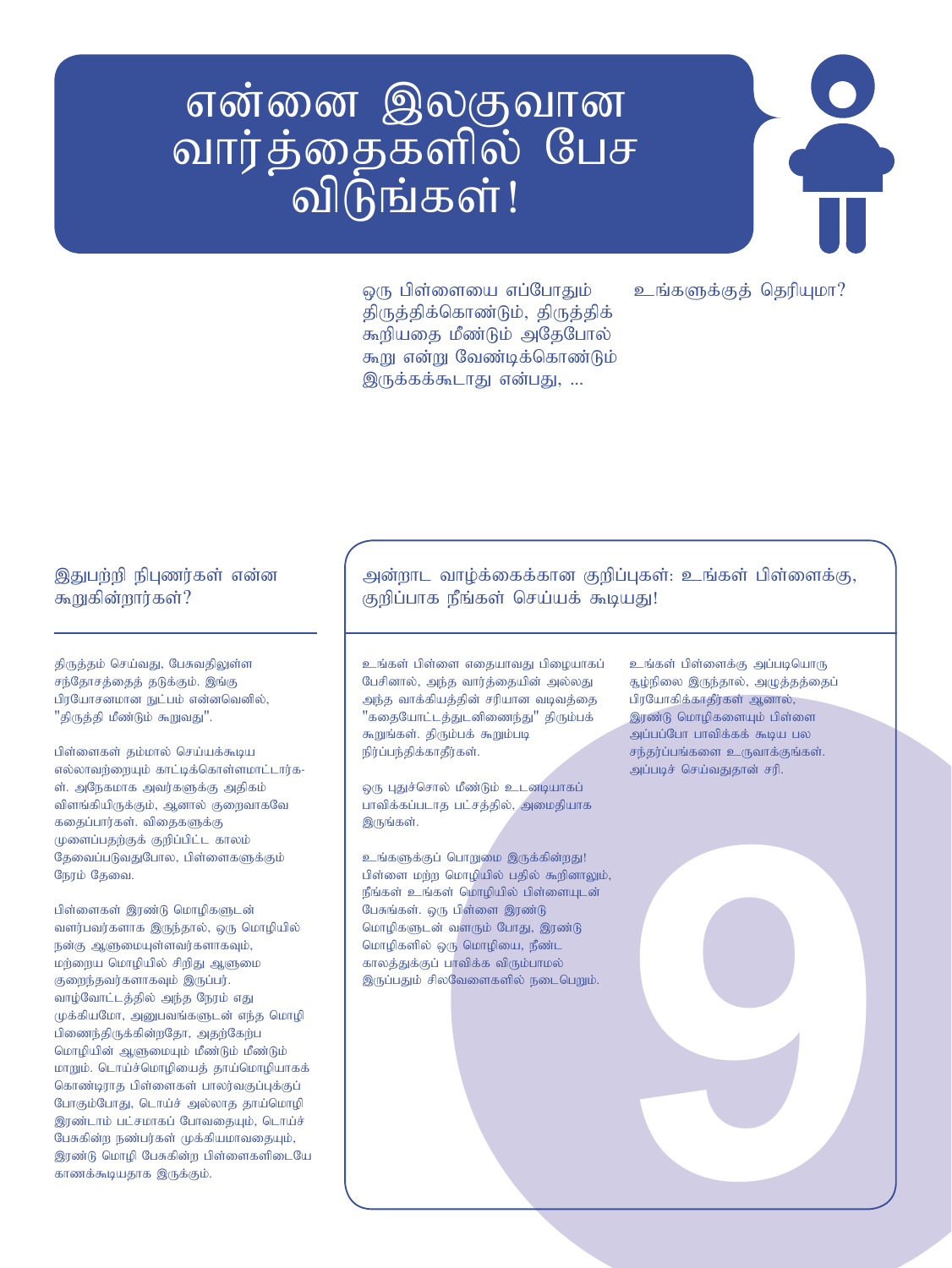# என்னை இலகுவான வார்த்தைகளில் பேச<br>- விடுங்கள்!

உங்களுக்குக் தெரியுமா?

ஒரு பிள்ளையை எப்போதும் திருத்திக்கொண்டும், திருத்திக் கூறியதை மீண்டும் அதேபோல் கூறு என்று வேண்டிக்கொண்டும் இருக்கக்கூடாகு என்பது, ...

#### இதுபற்றி நிபுணர்கள் என்ன கூறுகின்றார்கள்?

திருத்தம் செய்வது, பேசுவதிலுள்ள சந்தோசத்தைத் தடுக்கும். இங்கு பிரயோசனமான நுட்பம் என்னவெனில், "திருத்தி மீண்டும் கூறுவது".

பிள்ளைகள் தம்மால் செய்யக்கூடிய எல்லாவர்றையும் காட்டிக்கொள்ளமாட்டார்க-ள். அநேகமாக அவர்களுக்கு அதிகம் விளங்கியிருக்கும், ஆனால் குறைவாகவே கதைப்பார்கள். விதைகளுக்கு முளைப்பதற்குக் குறிப்பிட்ட காலம் தேவைப்படுவதுபோல, பிள்ளைகளுக்கும் நேரம் தேவை.

பிள்ளைகள் இரண்டு மொழிகளுடன் வளர்பவர்களாக இருந்தால், ஒரு மொழியில்  $B$ ன்கு ஆளுமையுள்ளவர்களாகவும், மற்றைய மொழியில் சிறிது ஆளுமை குறைந்தவர்களாகவும் இருப்பர். வாழ்வோட்டத்தில் அந்த நேரம் எது முக்கியமோ, அனுபவங்களுடன் எந்த மொழி பிணைந்திருக்கின்றதோ, அதற்கேற்ப மொழியின் ஆளுமையும் மீண்டும் மீண்டும் மாறும். டொய்ச்மொழியைத் தாய்மொழியாகக் கொண்டிராத பிள்ளைகள் பாலர்வகுப்புக்குப் போகும்போது, டொய்ச் அல்லாத தாய்மொழி இரண்டாம் பட்சமாகப் போவதையும், டொய்ச் பேசுகின்ற நண்பர்கள் முக்கியமாவதையும், இரண்டு மொழி பேசுகின்ற பிள்ளைகளிடையே காணக்கூடியதாக இருக்கும்.

#### அன்றாட வாழ்க்கைக்கான குறிப்புகள்: உங்கள் பிள்ளைக்கு, குறிப்பாக நீங்கள் செய்யக் கூடியது!

உங்கள் பிள்ளை எதையாவது பிழையாகப் பேசினால், அந்த வார்த்தையின் அல்லது அந்த வாக்கியத்தின் சரியான வடிவத்தை "கதையோட்டத்துடனிணைந்து" திரும்பக் கூறுங்கள். திரும்பக் கூறும்படி நிர்ப்பந்திக்காதீர்கள்.

ஒரு புதுச்சொல் மீண்டும் உடனடியாகப் பாவிக்கப்படாத பட்சத்தில், அமைதியாக இருங்கள்.

உங்களுக்குப் பொறுமை இருக்கின்றது! பிள்ளை மற்ற மொழியில் பதில் கூறினாலும், நீங்கள் உங்கள் மொழியில் பிள்ளையுடன் பேசுங்கள். ஒரு பிள்ளை இரண்டு மொழிகளுடன் வளரும் போது, இரண்டு மொழிகளில் ஒரு மொழியை, நீண்ட காலத்துக்குப் பாவிக்க விரும்பாமல் இருப்பதும் சிலவேளைகளில் நடைபெறும்.

உங்கள் பிள்ளைக்கு அப்படியொரு சூழ்நிலை இருந்தால், அழுத்தத்தைப் பிரயோகிக்காதீர்கள் ஆனால், இரண்டு மொழிகளையும் பிள்ளை அப்பப்போ பாவிக்கக் கூடிய பல  $f$ சந்தர்ப்பங்களை உருவாக்குங்கள். அப்படிச் செய்வதுதான் சரி.

9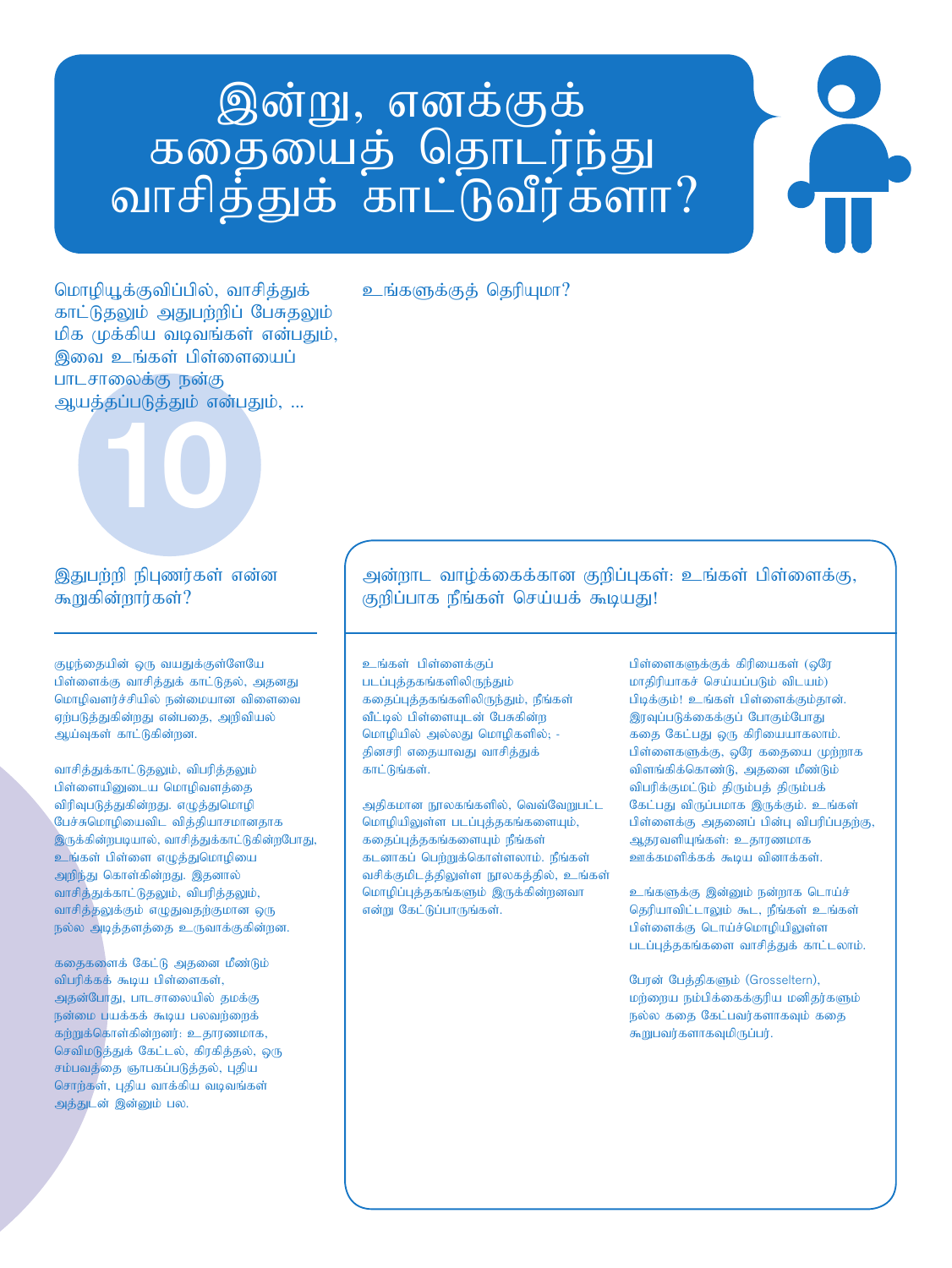# இன்று, எனக்குக்<br>கதையைத் தொடர்ந்து<br>வாசித்துக் காட்டுவீர்களா?

மொழியூக்குவிப்பில், வாசிக்குக் காட்டுதலும் அதுபற்றிப் பேசுதலும் மிக முக்கிய வடிவங்கள் என்பதும், இவை உங்கள் பிள்ளையைப் பாடசாலைக்கு நன்கு ஆயத்தப்படுத்தும் என்பதும், ...



#### இதுபற்றி நிபுணர்கள் என்ன கூறுகின்றார்கள்?

குழந்தையின் ஒரு வயதுக்குள்ளேயே பிள்ளைக்கு வாசித்துக் காட்டுதல், அதனது மொழிவளர்ச்சியில் நன்மையான விளைவை ஏற்படுத்துகின்றது என்பதை, அறிவியல் ஆய்வுகள் காட்டுகின்றன.

வாசித்துக்காட்டுதலும், விபரித்தலும் பிள்ளையிலைடய மொமிவளக்கை விரிவுபடுத்துகின்றது. எழுத்துமொழி பேச்சுமொழியைவிட வித்தியாசமானதாக இருக்கின்றபடியால், வாசித்துக்காட்டுகின்றபோது, உங்கள் பிள்ளை எழுத்துமொழியை அறிந்து கொள்கின்றது. இதனால் வாசித்துக்காட்டுதலும், விபரித்தலும், வாசித்தலுக்கும் எழுதுவதற்குமான ஒரு நல்ல அடித்தளத்தை உருவாக்குகின்றன.

கதைகளைக் கேட்டு அதனை மீண்டும் விபரிக்கக் கூடிய பிள்ளைகள், அதன்போது, பாடசாலையில் தமக்கு நன்மை பயக்கக் கூடிய பலவற்றைக் கற்றுக்கொள்கின்றனர்: உதாரணமாக, செவிமடுத்துக் கேட்டல், கிரகித்தல், ஒரு சம்பவத்தை ஞாபகப்படுத்தல், புதிய சொற்கள், புதிய வாக்கிய வடிவங்கள் அத்துடன் இன்னும் பல.

உங்களுக்குக் தெரியுமா?

அன்றாட வாழ்க்கைக்கான குறிப்புகள்: உங்கள் பிள்ளைக்கு, குறிப்பாக நீங்கள் செய்யக் கூடியது!

உங்கள் பிள்ளைக்குப் படப்புத்தகங்களிலிருந்தும் கதைப்புத்தகங்களிலிருந்தும், நீங்கள் வீட்டில் பிள்ளையுடன் பேசுகின்ற மொழியில் அல்லது மொழிகளில்; -தினசரி எதையாவது வாசித்துக் காட்டுங்கள்.

அதிகமான நூலகங்களில், வெவ்வேறுபட்ட மொழியிலுள்ள படப்புத்தகங்களையும், கதைப்புத்தகங்களையும் நீங்கள் கடனாகப் பெற்றுக்கொள்ளலாம். நீங்கள் வசிக்குமிடத்திலுள்ள நூலகத்தில், உங்கள் மொழிப்புத்தகங்களும் இருக்கின்றனவா என்று கேட்டுப்பாருங்கள்.

பிள்ளைகளுக்குக் கிரியைகள் (ஒரே மாதிரியாகச் செய்யப்படும் விடயம்) பிடிக்கும்! உங்கள் பிள்ளைக்கும்தான். இரவுப்படுக்கைக்குப் போகும்போது கதை கேட்பது ஒரு கிரியையாகலாம். பிள்ளைகளுக்கு, ஒரே கதையை முற்றாக விளங்கிக்கொண்டு, அதனை மீண்டும் விபரிக்குமட்டும் திரும்பத் திரும்பக் கேட்பது விருப்பமாக இருக்கும். உங்கள் பிள்ளைக்கு அதனைப் பின்பு விபரிப்பதற்கு, ஆதரவளியுங்கள்: உதாரணமாக ஊக்கமளிக்கக் கூடிய வினாக்கள்.

உங்களுக்கு இன்னும் நன்றாக டொய்ச் தெரியாவிட்டாலும் கூட, நீங்கள் உங்கள் பிள்ளைக்கு டொய்ச்மொழியிலுள்ள படப்புத்தகங்களை வாசித்துக் காட்டலாம்.

பேரன் பேத்திகளும் (Grosseltern), மற்றைய நம்பிக்கைக்குரிய மனிதர்களும் நல்ல கதை கேட்பவர்களாகவும் கதை கூறுபவர்களாகவுமிருப்பர்.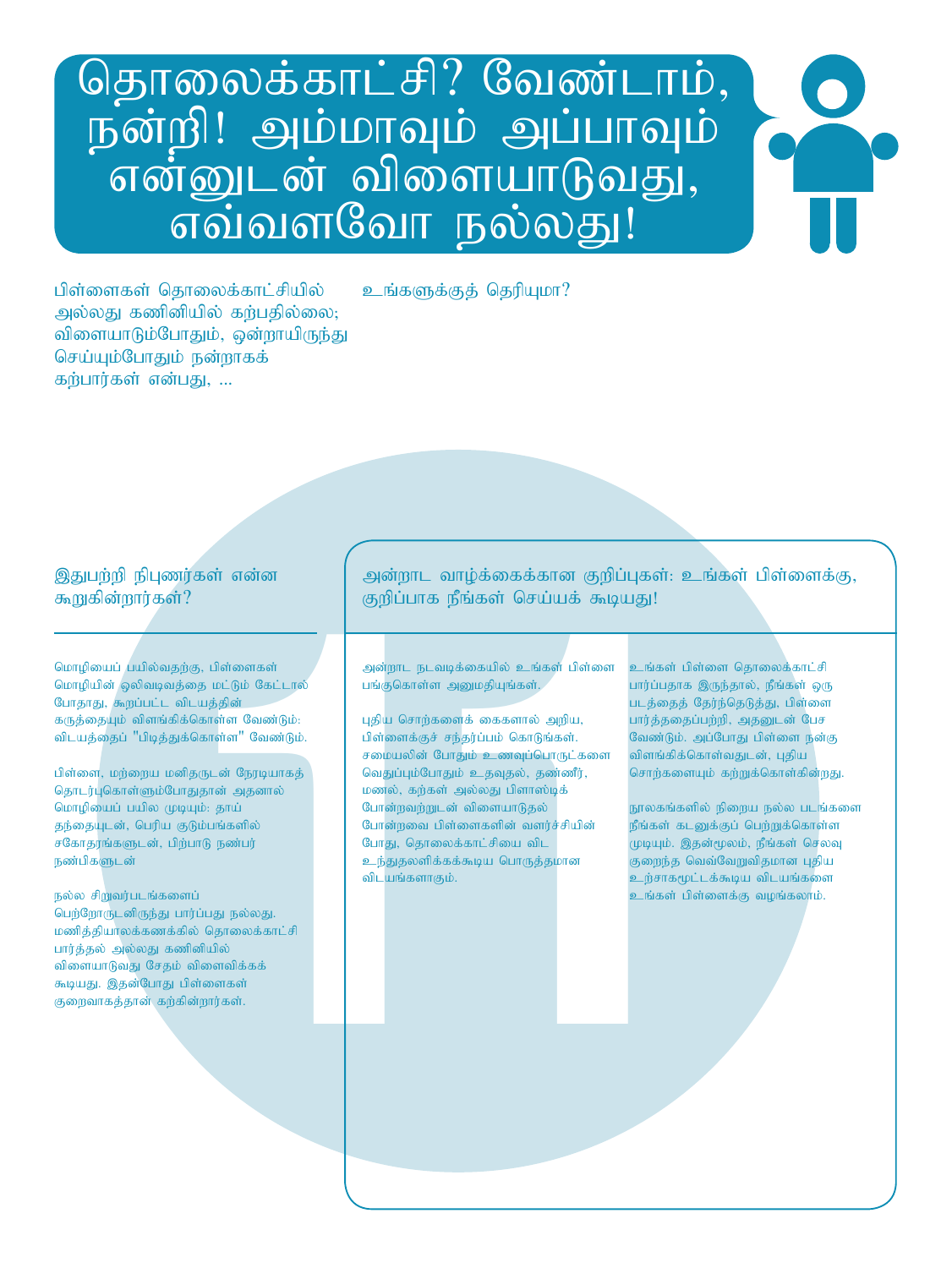## தொலைக்காட்சி? வேண்டாம், நன்றி! அம்மாவும் அப்பாவும் என்னுடன் விளையாடுவது், எவ்வளவோ நல்லது!

உங்களுக்குக் தெரியுமா?

பிள்ளைகள் கொலைக்காட்சியில் அல்லது கணினியில் கர்பதில்லை; விளையாடும்போதும், ஒன்றாயிருந்து செய்யும்போதும் நன்றாகக் கர்பார்கள் என்பது, ...

#### இதுபற்றி நிபுணர்கள் என்ன கூறுகின்றார்கள்?

மொழியைப் பயில்வதற்கு, பிள்ளைகள் மொழியின் ஒலிவடிவத்தை மட்டும் கேட்டால் போதாது, <mark>கூறப்பட்ட விடயத்தின்</mark> கருத்தையும் விளங்கிக்கொள்ள வேண்டும்: விடயத்தைப் "பிடித்துக்கொள்ள" வேண்டும்.

பிள்ளை, மற்றைய மனிதருடன் நேரடியாகத் தொடர்புகொள்ளும்போதுதான் அதனால் மொழியைப் பயில முடியும்: தாய் தந்தையுடன், பெரிய குடும்பங்களில் சகோதரங்களுடன், பிற்பாடு நண்பர் நண்பிகளுடன்

 $B$ ல்ல சிறுவர்படங்களைப் பெர்ரோருடனிருந்து பார்ப்பது நல்லது. மணித்தியாலக்கணக்கில் தொலைக்காட்சி பார்த்தல் அல்லது கணினியில் விளையாடுவது சேதம் விளைவிக்கக் கூடியது. இதன்போது பிள்ளைகள் குறைவாகத்தான் கற்கின்றார்கள்.

அன்றாட வாழ்க்கைக்கான குறிப்புகள்: உங்கள் பிள்ளைக்கு. குறிப்பாக நீங்கள் செய்யக் கூடியது!

அன்றாட நடவடிக்கையில் உங்கள் பிள்ளை பங்குகொள்ள அனுமதியுங்கள்.

ரித்தள் என்ன - அன்றாட வாழ்க்கைக்கான குறிப்புகள்: உநிக்ஷி<br>நிரிக்கும் - குறிப்பாக நீங்கள் செய்யக் கூடியது!<br>நிரிப்பாக நீங்கள் செய்யக் கூடியது!<br>நிரிப்பாக நீங்கள் அனைவரை உங்கை பிள்ளை உங்கள் பின்னாவது.<br>லிடங்த்கி - பின்னாக்கும் புதிய சொற்களைக் கைகளால் அறிய, பிள்ளைக்குச் சந்தர்ப்பம் கொடுங்கள். சமையலின் போதும் உணவுப்பொருட்களை வெதுப்பும்போதும் உதவுதல், தண்ணீர், மணல், கற்கள் அல்லது பிளாஸ்டிக் போ<mark>ன்</mark>றவற்றுடன் விளையாடுதல் போன்றவை பிள்ளைகளின் வளர்ச்சியின் போது, தொலைக்காட்சியை விட உந்துதலளிக்கக்கூடிய பொருத்தமான விடயங்களாகும்.

உங்கள் பிள்ளை தொலைக்காட்சி பார்ப்பதாக இருந்தால், நீங்கள் ஒரு படத்தைத் தேர்ந்தெடுத்து, பிள்ளை பார்த்ததைப்பற்றி, அதனுடன் பேச வேண்டும். அப்போது பிள்ளை நன்கு tpsq ;fpf ;nfhs ;tJld ;> Gjpa சொற்களையும் கற்றுக்கொள்கின்றது.

நூலகங்களில் நிறைய நல்ல படங்களை நீங்கள் கடனுக்குப் பெற்றுக்கொள்ள முடியும். இதன்மூலம், நீங்கள் செலவு குறைந்த வெவ்வேறுவிதமான புதிய உற்சாகமூட்டக்கூடிய விடயங்களை உங்கள் பிள்ளைக்கு வழங்கலாம்.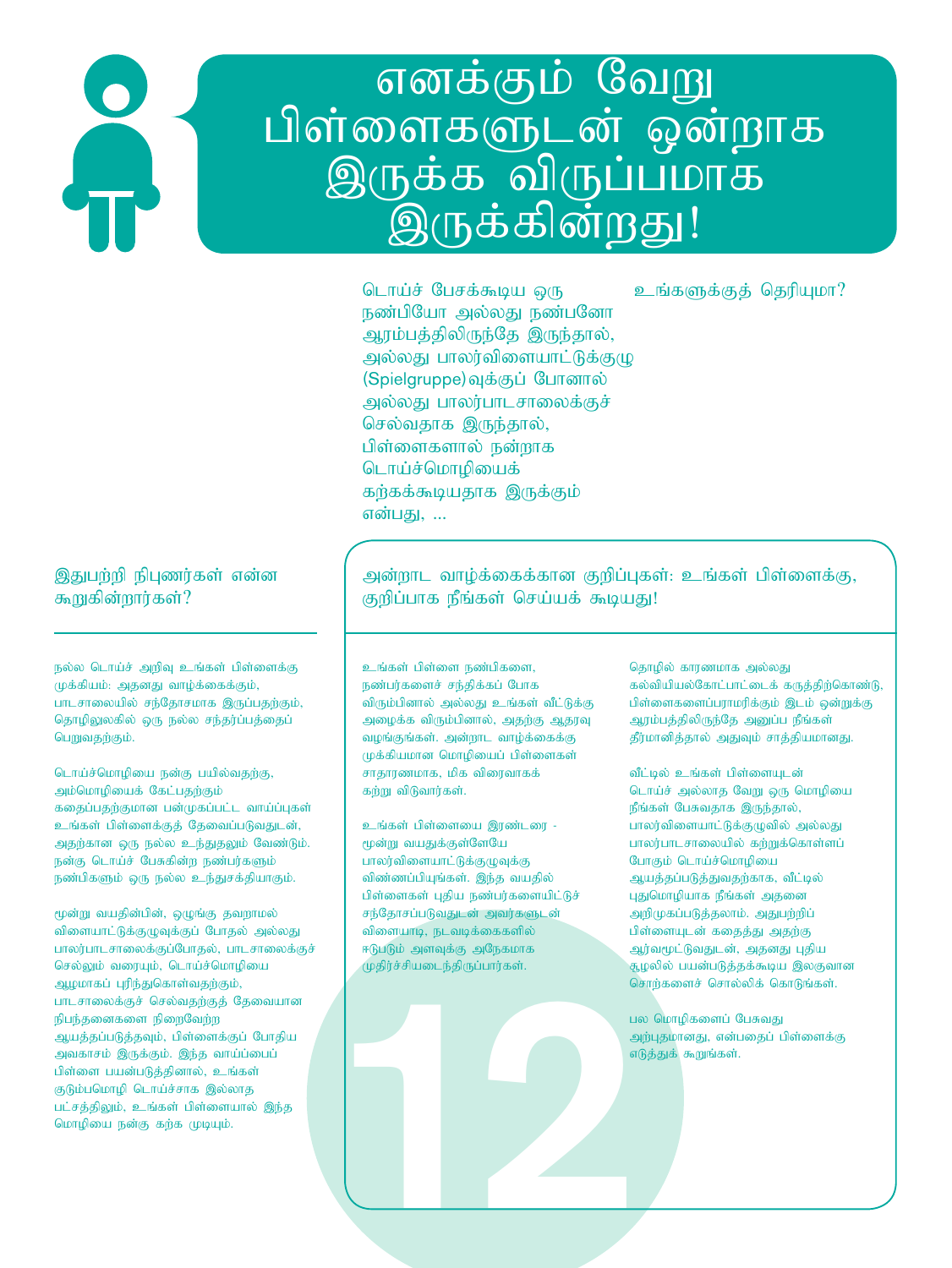# எனக்கும் வேறு<br>பிள்ளைகளுடன் ஒன்றாக<br>இருக்க விருப்பமாக<br>இருக்கின்றது!

டொய்ச் பேசக்கூடிய ஒரு நண்பியோ அல்லது நண்பனோ அரம்பத்திலிருந்தே இருந்தால், அல்லது பாலர்விளையாட்டுக்குழு (Spielgruppe) வுக்குப் போனால் அல்லது பாலர்பாடசாலைக்குச் செல்வதாக இருந்தால், பிள்ளைகளால் நன்றாக டொய்ச்மொழியைக் கற்கக்கூடியதாக இருக்கும் என்பது, ...

உங்களுக்குக் தெரியுமா?

#### இதுபற்றி நிபுணர்கள் என்ன கூறுகின்றார்கள்?

 $p$ ல்ல டொய்ச் அறிவு உங்கள் பிள்ளைக்கு முக்கியம்: அதனது வாழ்க்கைக்கும், .<br>பாடசாலையில் சந்தோசமாக இருப்பதற்கும், தொழிலுலகில் ஒரு நல்ல சந்தர்ப்பத்தைப் பெறுவதற்கும்.

டொய்ச்மொழியை நன்கு பயில்வதற்கு, அம்மொழியைக் கேட்பதற்கும் கதைப்பதற்குமான பன்முகப்பட்ட வாய்ப்புகள் உங்கள் பிள்ளைக்குத் தேவைப்படுவதுடன், அதற்கான ஒரு நல்ல உந்துதலும் வேண்டும். நன்கு டொய்ச் பேசுகின்ற நண்பர்களும் நண்பிகளும் ஒரு நல்ல உந்துசக்தியாகும்.

மூன்று வயதின்பின், ஒழுங்கு தவறாமல் விளையாட்டுக்குழுவுக்குப் போதல் அல்லது பாலர்பாடசாலைக்குப்போதல், பாடசாலைக்குச் செல்லும் வரையும், டொய்ச்மொழியை ஆழமாகப் புரிந்துகொள்வதற்கும், பாடசாலைக்குச் செல்வதற்குத் தேவையான நிபந்தனைகளை நிறைவேற்ற ஆயத்தப்படுத்தவும், பிள்ளைக்குப் போதிய அவகாசம் இருக்கும். இந்த வாய்ப்பைப் பிள்ளை பயன்படுத்தினால், உங்கள் குடும்பமொழி டொய்ச்சாக இல்லாத பட்சத்திலும், உங்கள் பிள்ளையால் இந்த மொழியை நன்கு கற்க முடியும்.

அன்றாட வாழ்க்கைக்கான குறிப்புகள்: உங்கள் பிள்ளைக்கு, குறிப்பாக நீங்கள் செய்யக் கூடியது!

உங்கள் பிள்ளை நண்பிகளை, நண்பர்களைச் சந்திக்கப் போக விரும்பினால் அல்லது உங்கள் வீட்டுக்கு அழைக்க விரும்பினால், அதற்கு ஆதரவு வழங்குங்கள். அன்றாட வாழ்க்கைக்கு  $\mu$ க்கியமான மொழியைப் பிள்ளைகள் சாதாரணமாக, மிக விரைவாகக் கந்று விடுவார்கள்.

12 உங்கள் பிள்ளையை இரண்டரை -மூன்று வயதுக்குள்ளேயே பாலர்விளையாட்டுக்குழுவுக்கு விண்ணப்பியுங்கள். இந்த வயதில் பிள்ளைகள் புதிய நண்பர்களையிட்டுச் சந்தோசப்படுவதுடன் அவர்களுடன் விளையாடி, நடவடிக்கைகளில் ஈடுபடும் அளவுக்கு அநேகமாக  $(p$ திர்ச்சியடைந்திருப்பார்கள்.

தொழில் காரணமாக அல்லது  $s$ ல்வியியல்கோட்பாட்டைக் கருத்திற்கொண்டு, பிள்ளைகளைப்பராமரிக்கும் இடம் ஒன்றுக்கு ஆரம்பத்திலிருந்தே அனுப்ப நீங்கள் தீர்மானித்தால் அதுவும் சாத்தியமானது.

வீட்டில் உங்கள் பிள்ளையுடன் டொய்ச் அல்லாத வேறு ஒரு மொழியை நீங்கள் பேசுவதாக இருந்தால், பாலர்விளையாட்டுக்குழுவில் அல்லது பாலர்பாடசாலையில் கற்றுக்கொள்ளப் போகும் டொய்ச்மொழியை ஆயத்தப்படுத்துவதற்காக, வீட்டில் புதுமொழியாக நீங்கள் அதனை அறிமுகப்படுத்தலாம். அதுபற்றிப் பிள்ளையுடன் கதைத்து அதற்கு ஆர்வமூட்டுவதுடன், அதனது புதிய ்சூழலில் பயன்படுத்தக்கூடிய இலகுவான சொற்களைச் சொல்லிக் கொடுங்கள்.

பல மொழிகளைப் பேசுவது அற்புதமானது, என்பதைப் பிள்ளைக்கு எடுத்துக் $\sigma$ குறுங்கள்.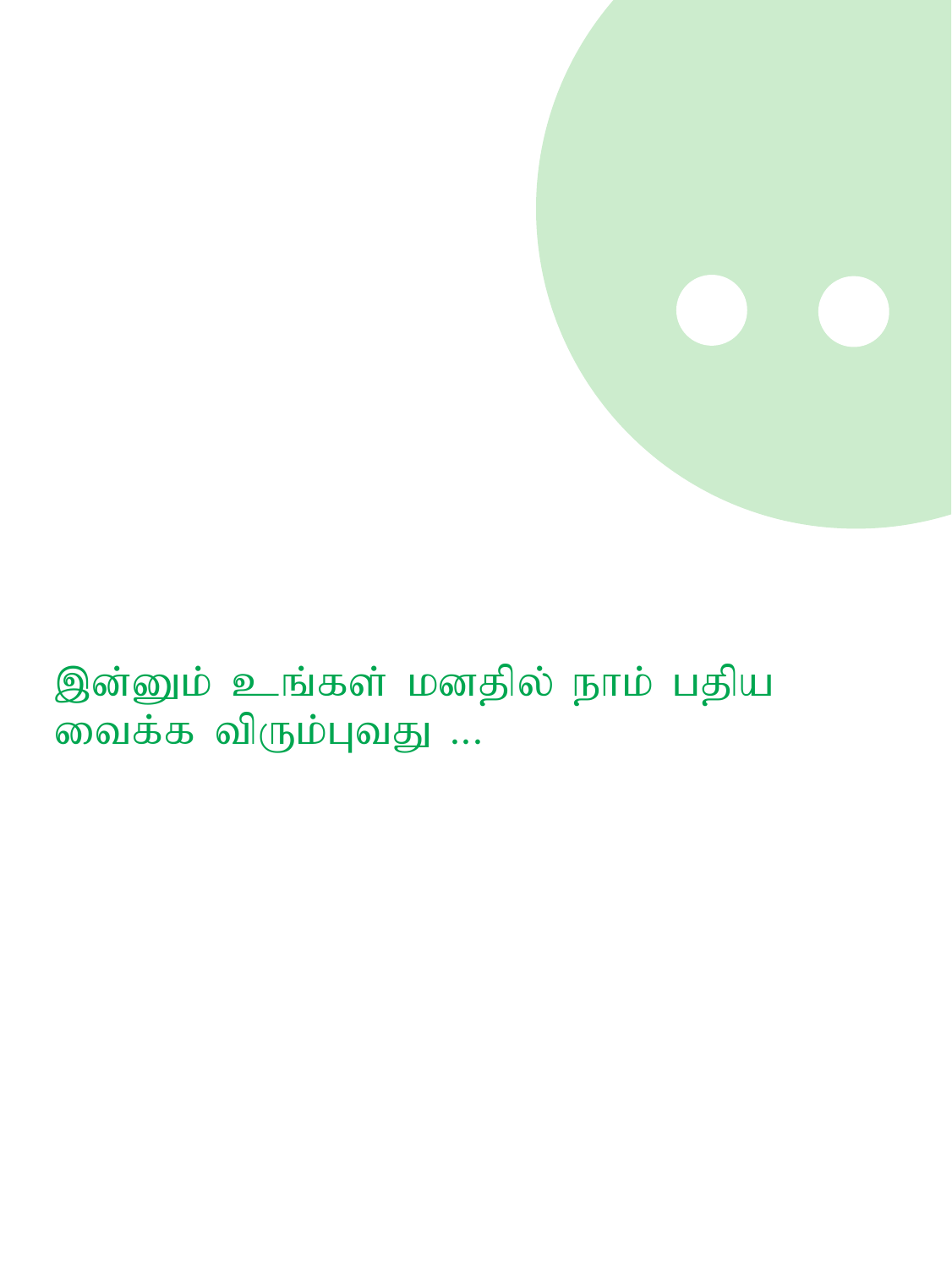

இன்னும் உங்கள் மனதில் நாம் பதிய வைக்க விரும்புவது ...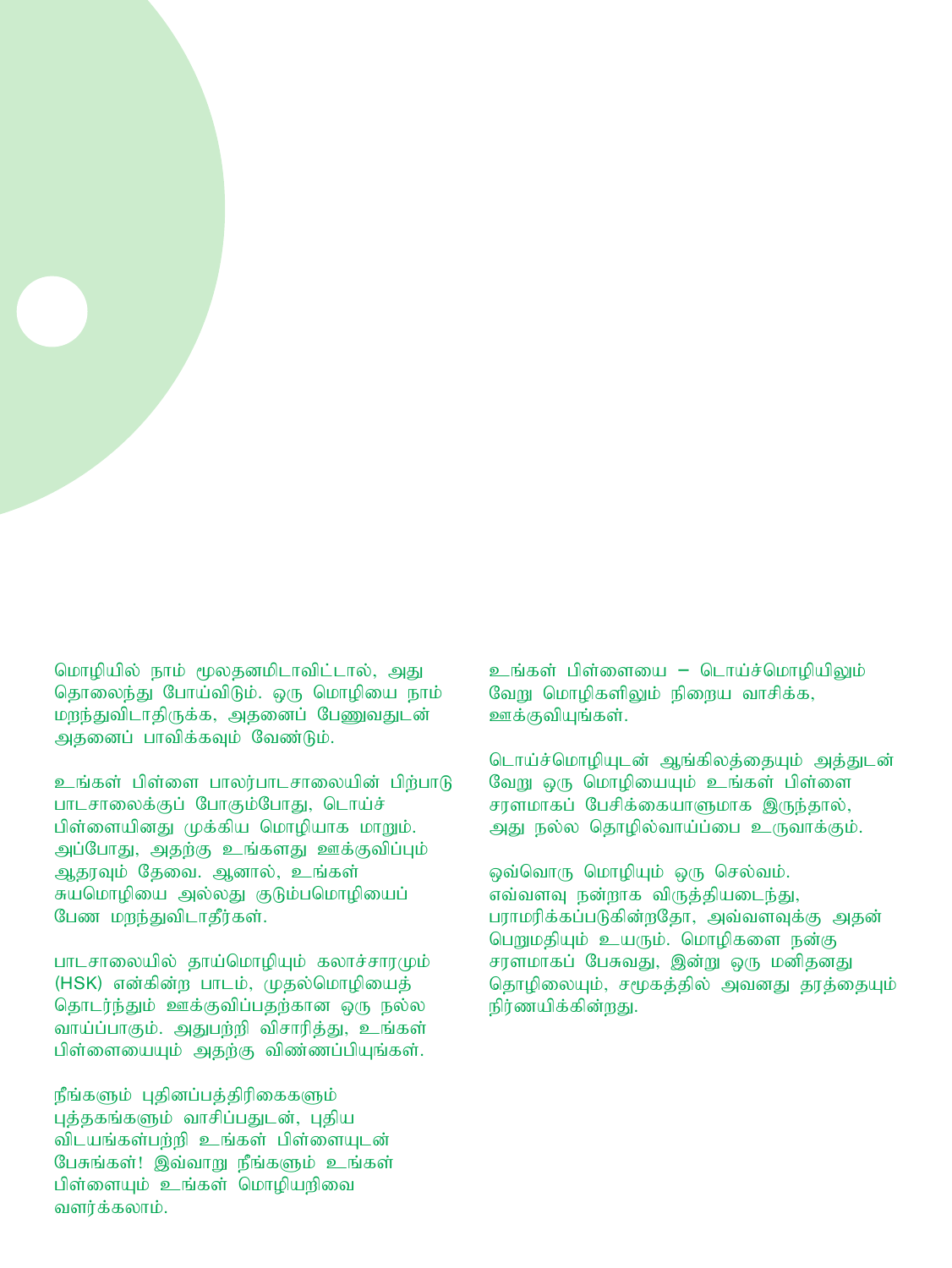

உங்கள் பிள்ளை பாலர்பாடசாலையின் பிற்பாடு பாடசாலைக்குப் போகும்போது, டொய்ச் பிள்ளையினது முக்கிய மொழியாக மாறும். அப்போது, அதற்கு உங்களது ஊக்குவிப்பும் ஆதரவும் தேவை. ஆனால், உங்கள் சுயமொழியை அல்லது குடும்பமொழியைப் பேண மறந்துவிடாதீர்கள்.

பாடசாலையில் தாய்மொழியும் கலாச்சாரமும் (HSK) என்கின்ற பாடம், முதல்மொழியைத் தொடர்ந்தும் ஊக்குவிப்பகற்கான ஒரு நல்ல வாய்ப்பாகும். அதுபற்றி விசாரித்து, உங்கள் பிள்ளையையும் அதற்கு விண்ணப்பியுங்கள்.

நீங்களும் புதினப்பத்திரிகைகளும் புத்தகங்களும் வாசிப்பதுடன், புதிய விடயங்கள்பற்றி உங்கள் பிள்ளையுடன் பேசுங்கள்! இவ்வாறு நீங்களும் உங்கள் பிள்ளையும் உங்கள் மொழியறிவை வளர்க்கலாம்.

உங்கள் பிள்ளையை – டொய்ச்மொழியிலும் வேறு மொழிகளிலும் நிறைய வாசிக்க, ஊக்குவியுங்கள்.

டொய்ச்மொழியுடன் ஆங்கிலத்தையும் அத்துடன் வேறு ஒரு மொழியையும் உங்கள் பிள்ளை சரளமாகப் பேசிக்கையாளுமாக இருந்தால், அது நல்ல தொழில்வாய்ப்பை உருவாக்கும்.

ஒவ்வொரு மொழியும் ஒரு செல்வம். எவ்வளவு நன்றாக விருத்தியடைந்து, பராமரிக்கப்படுகின்றதோ, அவ்வளவுக்கு அதன் பெறுமதியும் உயரும். மொழிகளை நன்கு சரளமாகப் பேசுவது, இன்று ஒரு மனிதனது தொழிலையும், சமூகத்தில் அவனது தரத்தையும் நிர்ணயிக்கின்றது.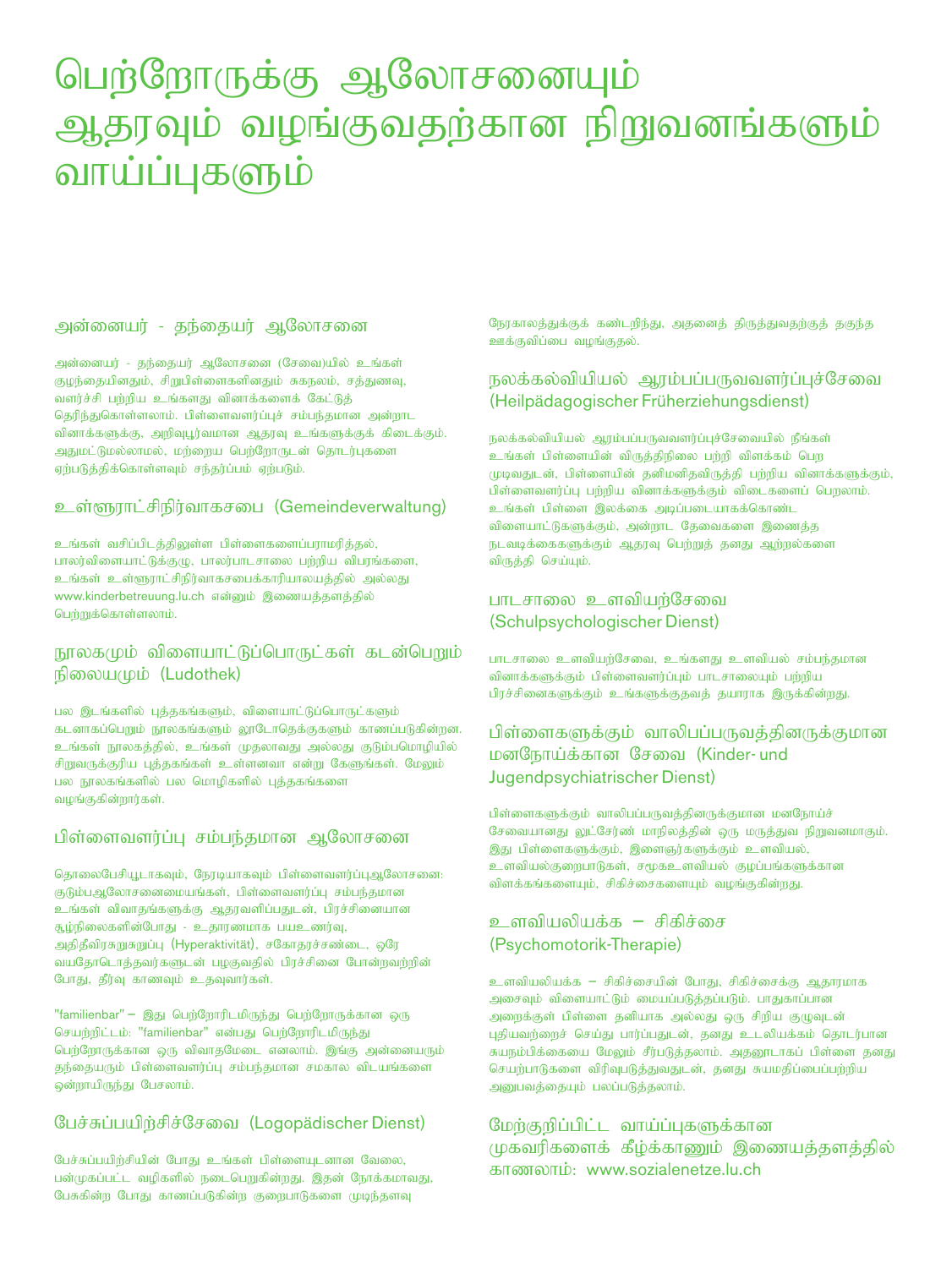### பெற்றோருக்கு ஆலோசனையும் ஆதரவும் வழங்குவதற்கான நிறுவனங்களும் வாய்ப்புகளும்

#### அன்னையர் - கந்கையர் அலோசனை

அன்னையர் - தந்தையர் ஆலோசனை (சேவை)யில் உங்கள் குமந்தையினதும், சிறுபிள்ளைகளினதும் சுகநலம், சக்துணவ, வளர்ச்சி பற்றிய உங்களது வினாக்களைக் கேட்டுத் தெரிந்துகொள்ளலாம். பிள்ளைவளர்ப்புச் சம்பந்தமான அன்றாட வினாக்களுக்கு, அறிவுபூர்வமான ஆதரவு உங்களுக்குக் கிடைக்கும். அதுமட்டுமல்லாமல், மற்றைய பெற்றோருடன் தொடர்புகளை  $g$ ந்படுத்திக்கொள்ளவும் சந்தர்ப்பம் ஏற்படும்.

#### உள்ளூாட்சிநிர்வாகசபை (Gemeindeverwaltung)

உங்கள் வசிப்பிடத்திலுள்ள பிள்ளைகளைப்பராமரித்தல், பாலர்விளையாட்டுக்குமு, பாலர்பாடசாலை பற்றிய விபரங்களை, உங்கள் உள்ளூராட்சிநிர்வாகசபைக்காரியாலயத்தில் அல்லது www.kinderbetreuung.lu.ch என்னும் இணையத்தளத்தில் பெற்றுக்கொள்ளலாம்.

#### நூலகமும் விளையாட்டுப்பொருட்கள் கடன்பெறும் நிலையமும் (Ludothek)

பல இடங்களில் புத்தகங்களும், விளையாட்டுப்பொருட்களும் கடனாகப்பெறும் நூலகங்களும் லூடோதெக்குகளும் காணப்படுகின்றன. உங்கள் நூலகத்தில், உங்கள் முதலாவது அல்லது குடும்பமொழியில் சிறுவருக்குரிய புத்தகங்கள் உள்ளனவா என்று கேளுங்கள். மேலும் பல நூலகங்களில் பல மொழிகளில் புத்தகங்களை வழங்குகின்றார்கள்.

#### பிள்ளைவளர்ப்பு சம்பந்தமான ஆலோசனை

தொலைபேசியூடாகவும், நேரடியாகவும் பிள்ளைவளர்ப்புஆலோசனை: குடும்பஆலோசனைமையங்கள், பிள்ளைவளர்ப்பு சம்பந்தமான உங்கள் விவாதங்களுக்கு ஆதரவளிப்பதுடன், பிரச்சினையான சூழ்நிலைகளின்போது - உதாரணமாக பயஉணர்வு, அதிதீவிரசுறுசுறுப்பு $($  Hyperaktivität $)$ , சகோதரச்சண்டை, ஒரே வயதோடொத்தவர்களுடன் பழகுவதில் பிரச்சினை போன்றவற்றின் போது, தீர்வு காணவும் உதவுவார்கள்.

"familienbar" – இது பெற்றோரிடமிருந்து பெற்றோருக்கான ஒரு செயற்றிட்டம்: "familienbar" என்பது பெற்றோரிடமிருந்து பெற்றோருக்கான ஒரு விவாதமேடை எனலாம். இங்கு அன்னையரும் தந்தையரும் பிள்ளைவளர்ப்பு சம்பந்தமான சமகால விடயங்களை ஒன்றாயிருந்து பேசலாம்.

#### பேச்சுப்பயிற்சிச்சேவை (Logopädischer Dienst)

பேச்சுப்பயிற்சியின் போது உங்கள் பிள்ளையுடனான வேலை, பன்முகப்பட்ட வழிகளில் நடைபெறுகின்றது. இதன் நோக்கமாவது, பேசுகின்ற போது காணப்படுகின்ற குறைபாடுகளை முடிந்தளவு

நேரகாலத்துக்குக் கண்டறிந்து, அதனைத் திருத்துவதற்குத் தகுந்த ஊக்குவிப்பை வழங்குதல்.

#### $\overline{B}$ லக்கல்வியியல் ஆரம்பப்பருவவளர்ப்புச்சேவை (Heilpädagogischer Früherziehungsdienst)

 $E_{\rm B}$ லக்கல்வியியல் ஆரம்பப்பருவவளர்ப்புச்சேவையில் நீங்கள் உங்கள் பிள்ளையின் விருத்திநிலை பற்றி விளக்கம் பெற  $\mu$ முடிவதுடன், பிள்ளையின் தனிமனிதவிருத்தி பற்றிய வினாக்களுக்கும், பிள்ளைவளர்ப்ப பற்றிய வினாக்களுக்கும் விடைகளைப் பொலாம். உங்கள் பிள்ளை இலக்கை அடிப்படையாகக்கொண்ட விளையாட்டுகளுக்கும், அன்றாட தேவைகளை இணைத்த நடவடிக்கைகளுக்கும் ஆதரவு பெற்றுத் தனது ஆற்றல்களை விருத்தி செய்யும்.

#### பாடசாலை உளவியர்சேவை (Schulpsychologischer Dienst)

பாடசாலை உளவியற்சேவை, உங்களது உளவியல் சம்பந்தமான வினாக்களுக்கும் பிள்ளைவளர்ப்பும் பாடசாலையும் பற்றிய பிரச்சினைகளுக்கும் உங்களுக்குதவத் தயாராக இருக்கின்றது.

#### பிள்ளைகளுக்கும் வாலிபப்பருவத்தினருக்குமான மனநோய்க்கான சேவை (Kinder- und Jugendpsychiatrischer Dienst)

பிள்ளைகளுக்கும் வாலிபப்பருவத்தினருக்குமான மனநோய்ச் சேவையானது லுட்சேர்ண் மாநிலத்தின் ஒரு மருத்துவ நிறுவனமாகும். இது பிள்ளைகளுக்கும், இளைஞர்களுக்கும் உளவியல், உளவியல்குறைபாடுகள், சமூகஉளவியல் குழப்பங்களுக்கான விளக்கங்களையும், சிகிச்சைகளையும் வழங்குகின்றது.

#### உளவியலியக்க – சிகிச்சை (Psychomotorik-Therapie)

உளவியலியக்க – சிகிச்சையின் போது, சிகிச்சைக்கு ஆதாரமாக அசைவும் விளையாட்டும் மையப்படுத்தப்படும். பாதுகாப்பான அறைக்குள் பிள்ளை தனியாக அல்லது ஒரு சிறிய குழுவுடன் புதியவற்றைச் செய்து பார்ப்பதுடன், தனது உடலியக்கம் தொடர்பான சுயநம்பிக்கையை மேலும் சீர்படுத்தலாம். அதனூடாகப் பிள்ளை தனது செயற்பாடுகளை விரிவுபடுத்துவதுடன், தனது சுயமதிப்பைப்பற்றிய அனுபவத்தையும் பலப்படுத்தலாம்.

#### மேற்குறிப்பிட்ட வாய்ப்புகளுக்கான முகவரிகளைக் கீழ்க்காணும் இணையத்தளத்தில் காணலாம்: www.sozialenetze.lu.ch